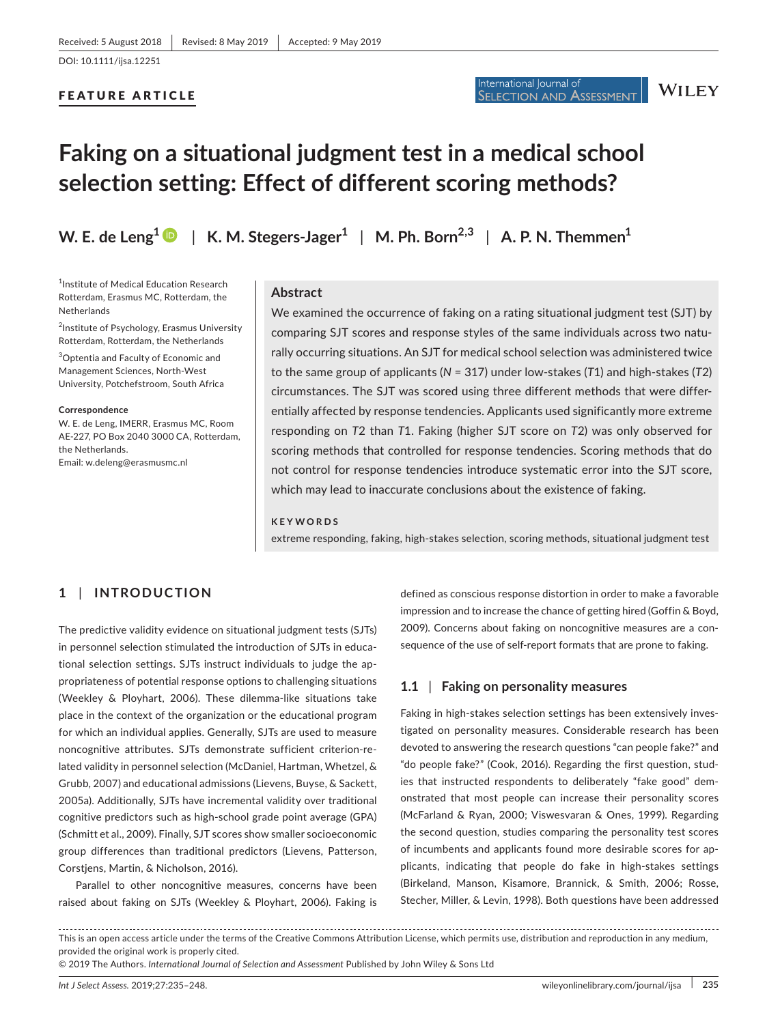#### FEATURE ARTICLE

# **Faking on a situational judgment test in a medical school selection setting: Effect of different scoring methods?**

**W. E. de Leng[1](https://orcid.org/0000-0001-8296-7239)** | **K. M. Stegers‐Jager<sup>1</sup>** | **M. Ph. Born2,3** | **A. P. N. Themmen<sup>1</sup>**

<sup>1</sup>Institute of Medical Education Research Rotterdam, Erasmus MC, Rotterdam, the Netherlands

<sup>2</sup>Institute of Psychology, Erasmus University Rotterdam, Rotterdam, the Netherlands

3 Optentia and Faculty of Economic and Management Sciences, North‐West University, Potchefstroom, South Africa

**Correspondence** W. E. de Leng, IMERR, Erasmus MC, Room AE‐227, PO Box 2040 3000 CA, Rotterdam, the Netherlands.

Email: [w.deleng@erasmusmc.nl](mailto:w.deleng@erasmusmc.nl)

#### **Abstract**

We examined the occurrence of faking on a rating situational judgment test (SJT) by comparing SJT scores and response styles of the same individuals across two natu‐ rally occurring situations. An SJT for medical school selection was administered twice to the same group of applicants (*N* = 317) under low‐stakes (*T*1) and high‐stakes (*T*2) circumstances. The SJT was scored using three different methods that were differ‐ entially affected by response tendencies. Applicants used significantly more extreme responding on *T*2 than *T*1. Faking (higher SJT score on *T*2) was only observed for scoring methods that controlled for response tendencies. Scoring methods that do not control for response tendencies introduce systematic error into the SJT score, which may lead to inaccurate conclusions about the existence of faking.

International Journal of

#### **KEYWORDS**

extreme responding, faking, high‐stakes selection, scoring methods, situational judgment test

# **1** | **INTRODUCTION**

The predictive validity evidence on situational judgment tests (SJTs) in personnel selection stimulated the introduction of SJTs in educa‐ tional selection settings. SJTs instruct individuals to judge the ap‐ propriateness of potential response options to challenging situations (Weekley & Ployhart, 2006). These dilemma‐like situations take place in the context of the organization or the educational program for which an individual applies. Generally, SJTs are used to measure noncognitive attributes. SJTs demonstrate sufficient criterion‐re‐ lated validity in personnel selection (McDaniel, Hartman, Whetzel, & Grubb, 2007) and educational admissions (Lievens, Buyse, & Sackett, 2005a). Additionally, SJTs have incremental validity over traditional cognitive predictors such as high‐school grade point average (GPA) (Schmitt et al., 2009). Finally, SJT scores show smaller socioeconomic group differences than traditional predictors (Lievens, Patterson, Corstjens, Martin, & Nicholson, 2016).

Parallel to other noncognitive measures, concerns have been raised about faking on SJTs (Weekley & Ployhart, 2006). Faking is defined as conscious response distortion in order to make a favorable impression and to increase the chance of getting hired (Goffin & Boyd, 2009). Concerns about faking on noncognitive measures are a con‐ sequence of the use of self-report formats that are prone to faking.

## **1.1** | **Faking on personality measures**

Faking in high-stakes selection settings has been extensively investigated on personality measures. Considerable research has been devoted to answering the research questions "can people fake?" and "do people fake?" (Cook, 2016). Regarding the first question, stud‐ ies that instructed respondents to deliberately "fake good" demonstrated that most people can increase their personality scores (McFarland & Ryan, 2000; Viswesvaran & Ones, 1999). Regarding the second question, studies comparing the personality test scores of incumbents and applicants found more desirable scores for ap‐ plicants, indicating that people do fake in high-stakes settings (Birkeland, Manson, Kisamore, Brannick, & Smith, 2006; Rosse, Stecher, Miller, & Levin, 1998). Both questions have been addressed

This is an open access article under the terms of the [Creative Commons Attribution](http://creativecommons.org/licenses/by/4.0/) License, which permits use, distribution and reproduction in any medium, provided the original work is properly cited.

<sup>© 2019</sup> The Authors. *International Journal of Selection and Assessment* Published by John Wiley & Sons Ltd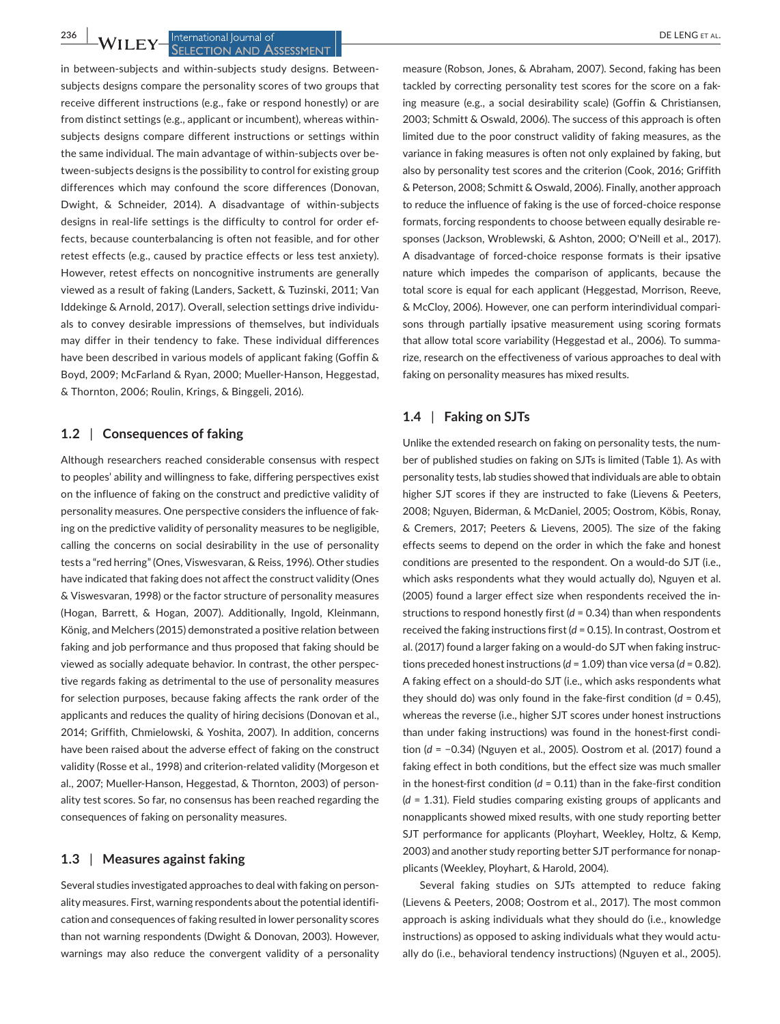#### **236 WII EV** International Journal of **CONSTRAL SELECTION AND ASSESSMENT**

in between-subjects and within-subjects study designs. Betweensubjects designs compare the personality scores of two groups that receive different instructions (e.g., fake or respond honestly) or are from distinct settings (e.g., applicant or incumbent), whereas within‐ subjects designs compare different instructions or settings within the same individual. The main advantage of within‐subjects over be‐ tween‐subjects designs is the possibility to control for existing group differences which may confound the score differences (Donovan, Dwight, & Schneider, 2014). A disadvantage of within-subjects designs in real‐life settings is the difficulty to control for order ef‐ fects, because counterbalancing is often not feasible, and for other retest effects (e.g., caused by practice effects or less test anxiety). However, retest effects on noncognitive instruments are generally viewed as a result of faking (Landers, Sackett, & Tuzinski, 2011; Van Iddekinge & Arnold, 2017). Overall, selection settings drive individu‐ als to convey desirable impressions of themselves, but individuals may differ in their tendency to fake. These individual differences have been described in various models of applicant faking (Goffin & Boyd, 2009; McFarland & Ryan, 2000; Mueller‐Hanson, Heggestad, & Thornton, 2006; Roulin, Krings, & Binggeli, 2016).

#### **1.2** | **Consequences of faking**

Although researchers reached considerable consensus with respect to peoples' ability and willingness to fake, differing perspectives exist on the influence of faking on the construct and predictive validity of personality measures. One perspective considers the influence of fak‐ ing on the predictive validity of personality measures to be negligible, calling the concerns on social desirability in the use of personality tests a "red herring" (Ones, Viswesvaran, & Reiss, 1996). Other studies have indicated that faking does not affect the construct validity (Ones & Viswesvaran, 1998) or the factor structure of personality measures (Hogan, Barrett, & Hogan, 2007). Additionally, Ingold, Kleinmann, König, and Melchers (2015) demonstrated a positive relation between faking and job performance and thus proposed that faking should be viewed as socially adequate behavior. In contrast, the other perspec‐ tive regards faking as detrimental to the use of personality measures for selection purposes, because faking affects the rank order of the applicants and reduces the quality of hiring decisions (Donovan et al., 2014; Griffith, Chmielowski, & Yoshita, 2007). In addition, concerns have been raised about the adverse effect of faking on the construct validity (Rosse et al., 1998) and criterion‐related validity (Morgeson et al., 2007; Mueller‐Hanson, Heggestad, & Thornton, 2003) of person‐ ality test scores. So far, no consensus has been reached regarding the consequences of faking on personality measures.

## **1.3** | **Measures against faking**

Several studies investigated approaches to deal with faking on person‐ ality measures. First, warning respondents about the potential identifi‐ cation and consequences of faking resulted in lower personality scores than not warning respondents (Dwight & Donovan, 2003). However, warnings may also reduce the convergent validity of a personality

measure (Robson, Jones, & Abraham, 2007). Second, faking has been tackled by correcting personality test scores for the score on a fak‐ ing measure (e.g., a social desirability scale) (Goffin & Christiansen, 2003; Schmitt & Oswald, 2006). The success of this approach is often limited due to the poor construct validity of faking measures, as the variance in faking measures is often not only explained by faking, but also by personality test scores and the criterion (Cook, 2016; Griffith & Peterson, 2008; Schmitt & Oswald, 2006). Finally, another approach to reduce the influence of faking is the use of forced‐choice response formats, forcing respondents to choose between equally desirable re‐ sponses (Jackson, Wroblewski, & Ashton, 2000; O'Neill et al., 2017). A disadvantage of forced‐choice response formats is their ipsative nature which impedes the comparison of applicants, because the total score is equal for each applicant (Heggestad, Morrison, Reeve, & McCloy, 2006). However, one can perform interindividual compari‐ sons through partially ipsative measurement using scoring formats that allow total score variability (Heggestad et al., 2006). To summa‐ rize, research on the effectiveness of various approaches to deal with faking on personality measures has mixed results.

#### **1.4** | **Faking on SJTs**

Unlike the extended research on faking on personality tests, the num‐ ber of published studies on faking on SJTs is limited (Table 1). As with personality tests, lab studies showed that individuals are able to obtain higher SJT scores if they are instructed to fake (Lievens & Peeters, 2008; Nguyen, Biderman, & McDaniel, 2005; Oostrom, Köbis, Ronay, & Cremers, 2017; Peeters & Lievens, 2005). The size of the faking effects seems to depend on the order in which the fake and honest conditions are presented to the respondent. On a would‐do SJT (i.e., which asks respondents what they would actually do), Nguyen et al. (2005) found a larger effect size when respondents received the in‐ structions to respond honestly first (*d* = 0.34) than when respondents received the faking instructions first (*d* = 0.15). In contrast, Oostrom et al. (2017) found a larger faking on a would‐do SJT when faking instruc‐ tions preceded honest instructions (*d* = 1.09) than vice versa (*d* = 0.82). A faking effect on a should‐do SJT (i.e., which asks respondents what they should do) was only found in the fake‐first condition (*d* = 0.45), whereas the reverse (i.e., higher SJT scores under honest instructions than under faking instructions) was found in the honest-first condition (*d* = −0.34) (Nguyen et al., 2005). Oostrom et al. (2017) found a faking effect in both conditions, but the effect size was much smaller in the honest-first condition  $(d = 0.11)$  than in the fake-first condition (*d* = 1.31). Field studies comparing existing groups of applicants and nonapplicants showed mixed results, with one study reporting better SJT performance for applicants (Ployhart, Weekley, Holtz, & Kemp, 2003) and another study reporting better SJT performance for nonap‐ plicants (Weekley, Ployhart, & Harold, 2004).

Several faking studies on SJTs attempted to reduce faking (Lievens & Peeters, 2008; Oostrom et al., 2017). The most common approach is asking individuals what they should do (i.e., knowledge instructions) as opposed to asking individuals what they would actually do (i.e., behavioral tendency instructions) (Nguyen et al., 2005).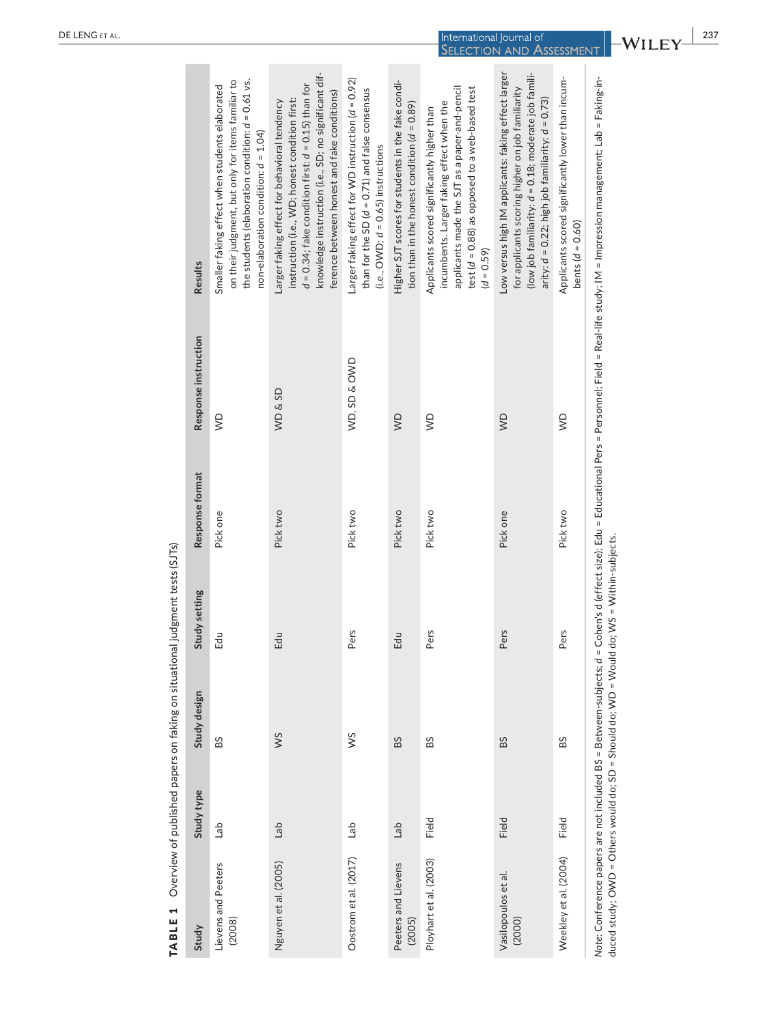| TABLE 1                                                                                  |            |              | Overview of published papers on faking on situational judgment tests (SJTs) |                 |                        |                                                                                                                                                                                                                                                                   |
|------------------------------------------------------------------------------------------|------------|--------------|-----------------------------------------------------------------------------|-----------------|------------------------|-------------------------------------------------------------------------------------------------------------------------------------------------------------------------------------------------------------------------------------------------------------------|
| Study                                                                                    | Study type | Study design | Study setting                                                               | Response format | Response instruction   | Results                                                                                                                                                                                                                                                           |
| Lievens and Peeters<br>(2008)                                                            | deT        | BS           | Edu                                                                         | Pick one        | $\widehat{\mathsf{S}}$ | on their judgment, but only for items familiar to<br>the students (elaboration condition: $d = 0.61$ vs.<br>Smaller faking effect when students elaborated<br>non-elaboration condition: $d = 1.04$ )                                                             |
| Nguyen et al. (2005)                                                                     | da         | ws           | Edu                                                                         | Pick two        | <b>WD&amp;SD</b>       | knowledge instruction (i.e., SD; no significant dif-<br>$d = 0.34$ ; fake condition first: $d = 0.15$ ) than for<br>ference between honest and fake conditions)<br>instruction (i.e., WD; honest condition first:<br>Larger faking effect for behavioral tendency |
| Oostrom et al. (2017)                                                                    | del        | SM           | Pers                                                                        | Pick two        | WD, SD & OWD           | Larger faking effect for WD instruction ( $d = 0.92$ )<br>than for the SD $(d = 0.71)$ and false consensus<br>$(i.e., OWD; d = 0.65)$ instructions                                                                                                                |
| Peeters and Lievens<br>(2005)                                                            | da         | BS           | Edu                                                                         | Pick two        | $\sum_{i=1}^{n}$       | Higher SJT scores for students in the fake condi-<br>tion than in the honest condition $(d = 0.89)$                                                                                                                                                               |
| Ployhart et al. (2003)                                                                   | Field      | BS           | Pers                                                                        | Pick two        | $\subseteq$            | applicants made the SJT as a paper-and-pencil<br>test (d = 0.88) as opposed to a web-based test<br>incumbents. Larger faking effect when the<br>Applicants scored significantly higher than<br>$(d = 0.59)$                                                       |
| Vasilopoulos et al.<br>(2000)                                                            | Field      | BS           | Pers                                                                        | Pick one        | $\sum_{i=1}^{n}$       | Low versus high IM applicants: faking effect larger<br>(low job familiarity: $d = 0.18$ ; moderate job famili-<br>for applicants scoring higher on job familiarity<br>arity: $d = 0.22$ ; high job familiarity: $d = 0.73$ )                                      |
| Weekley et al. (2004)                                                                    | Field      | BS           | Pers                                                                        | Pick two        | $\sum_{i=1}^{n}$       | Applicants scored significantly lower than incum-<br>bents $(d = 0.60)$                                                                                                                                                                                           |
| duced study: OWD = Others would do: SD = Should do: WD = Would do: WS = Within-subjects. |            |              |                                                                             |                 |                        | Note: Conference papers are not included BS = Between-subjects; d = Cohen's d (effect size); Edu = Educational Pers = Personnel; Field = Real-life study; IM = Impression management; Lab = Faking-in-                                                            |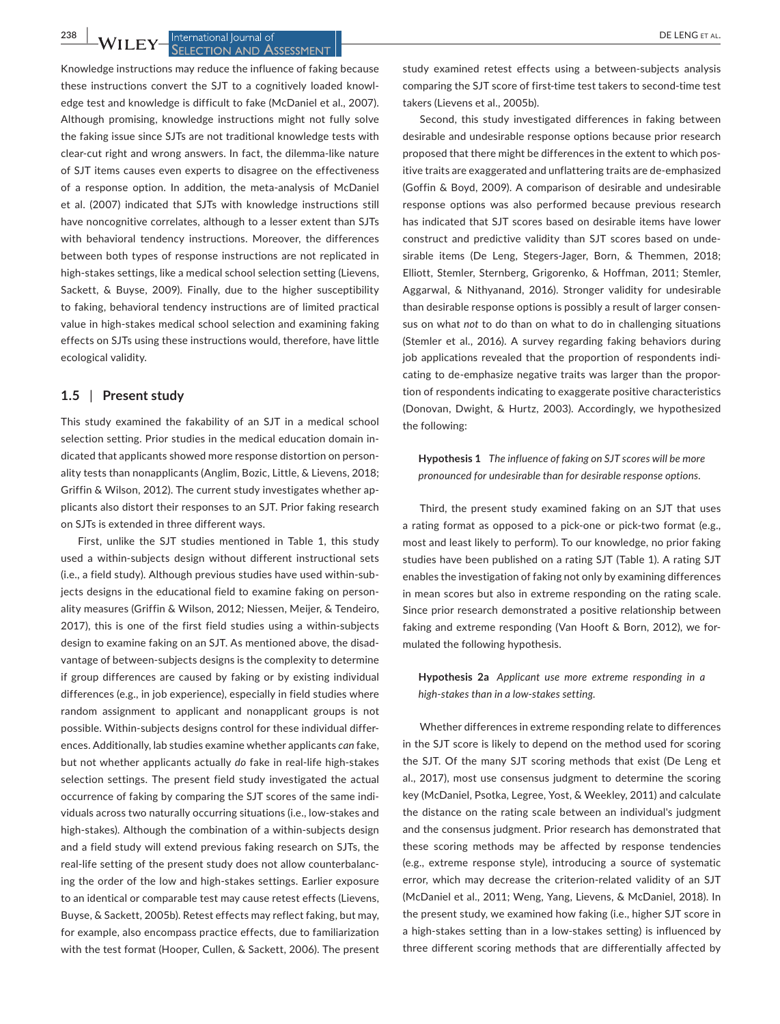#### **238 bbl bl bl cl cl cl cl cl cl cl cl cl cl cl cl cl cl cl cl cl cl cl cl cl cl cl cl cl cl cl SELECTION AND ASSESSMENT**

Knowledge instructions may reduce the influence of faking because these instructions convert the SJT to a cognitively loaded knowl‐ edge test and knowledge is difficult to fake (McDaniel et al., 2007). Although promising, knowledge instructions might not fully solve the faking issue since SJTs are not traditional knowledge tests with clear‐cut right and wrong answers. In fact, the dilemma‐like nature of SJT items causes even experts to disagree on the effectiveness of a response option. In addition, the meta‐analysis of McDaniel et al. (2007) indicated that SJTs with knowledge instructions still have noncognitive correlates, although to a lesser extent than SJTs with behavioral tendency instructions. Moreover, the differences between both types of response instructions are not replicated in high-stakes settings, like a medical school selection setting (Lievens, Sackett, & Buyse, 2009). Finally, due to the higher susceptibility to faking, behavioral tendency instructions are of limited practical value in high‐stakes medical school selection and examining faking effects on SJTs using these instructions would, therefore, have little ecological validity.

#### **1.5** | **Present study**

This study examined the fakability of an SJT in a medical school selection setting. Prior studies in the medical education domain indicated that applicants showed more response distortion on person‐ ality tests than nonapplicants (Anglim, Bozic, Little, & Lievens, 2018; Griffin & Wilson, 2012). The current study investigates whether ap‐ plicants also distort their responses to an SJT. Prior faking research on SJTs is extended in three different ways.

First, unlike the SJT studies mentioned in Table 1, this study used a within‐subjects design without different instructional sets (i.e., a field study). Although previous studies have used within‐sub‐ jects designs in the educational field to examine faking on person‐ ality measures (Griffin & Wilson, 2012; Niessen, Meijer, & Tendeiro, 2017), this is one of the first field studies using a within‐subjects design to examine faking on an SJT. As mentioned above, the disad‐ vantage of between‐subjects designs is the complexity to determine if group differences are caused by faking or by existing individual differences (e.g., in job experience), especially in field studies where random assignment to applicant and nonapplicant groups is not possible. Within‐subjects designs control for these individual differ‐ ences. Additionally, lab studies examine whether applicants *can* fake, but not whether applicants actually *do* fake in real‐life high‐stakes selection settings. The present field study investigated the actual occurrence of faking by comparing the SJT scores of the same indi‐ viduals across two naturally occurring situations (i.e., low‐stakes and high-stakes). Although the combination of a within-subjects design and a field study will extend previous faking research on SJTs, the real-life setting of the present study does not allow counterbalancing the order of the low and high‐stakes settings. Earlier exposure to an identical or comparable test may cause retest effects (Lievens, Buyse, & Sackett, 2005b). Retest effects may reflect faking, but may, for example, also encompass practice effects, due to familiarization with the test format (Hooper, Cullen, & Sackett, 2006). The present

study examined retest effects using a between-subjects analysis comparing the SJT score of first-time test takers to second-time test takers (Lievens et al., 2005b).

Second, this study investigated differences in faking between desirable and undesirable response options because prior research proposed that there might be differences in the extent to which positive traits are exaggerated and unflattering traits are de‐emphasized (Goffin & Boyd, 2009). A comparison of desirable and undesirable response options was also performed because previous research has indicated that SJT scores based on desirable items have lower construct and predictive validity than SJT scores based on unde‐ sirable items (De Leng, Stegers‐Jager, Born, & Themmen, 2018; Elliott, Stemler, Sternberg, Grigorenko, & Hoffman, 2011; Stemler, Aggarwal, & Nithyanand, 2016). Stronger validity for undesirable than desirable response options is possibly a result of larger consen‐ sus on what *not* to do than on what to do in challenging situations (Stemler et al., 2016). A survey regarding faking behaviors during job applications revealed that the proportion of respondents indi‐ cating to de-emphasize negative traits was larger than the proportion of respondents indicating to exaggerate positive characteristics (Donovan, Dwight, & Hurtz, 2003). Accordingly, we hypothesized the following:

**Hypothesis 1** *The influence of faking on SJT scores will be more pronounced for undesirable than for desirable response options.*

Third, the present study examined faking on an SJT that uses a rating format as opposed to a pick‐one or pick‐two format (e.g., most and least likely to perform). To our knowledge, no prior faking studies have been published on a rating SJT (Table 1). A rating SJT enables the investigation of faking not only by examining differences in mean scores but also in extreme responding on the rating scale. Since prior research demonstrated a positive relationship between faking and extreme responding (Van Hooft & Born, 2012), we for‐ mulated the following hypothesis.

**Hypothesis 2a** *Applicant use more extreme responding in a high‐stakes than in a low‐stakes setting.*

Whether differences in extreme responding relate to differences in the SJT score is likely to depend on the method used for scoring the SJT. Of the many SJT scoring methods that exist (De Leng et al., 2017), most use consensus judgment to determine the scoring key (McDaniel, Psotka, Legree, Yost, & Weekley, 2011) and calculate the distance on the rating scale between an individual's judgment and the consensus judgment. Prior research has demonstrated that these scoring methods may be affected by response tendencies (e.g., extreme response style), introducing a source of systematic error, which may decrease the criterion-related validity of an SJT (McDaniel et al., 2011; Weng, Yang, Lievens, & McDaniel, 2018). In the present study, we examined how faking (i.e., higher SJT score in a high‐stakes setting than in a low‐stakes setting) is influenced by three different scoring methods that are differentially affected by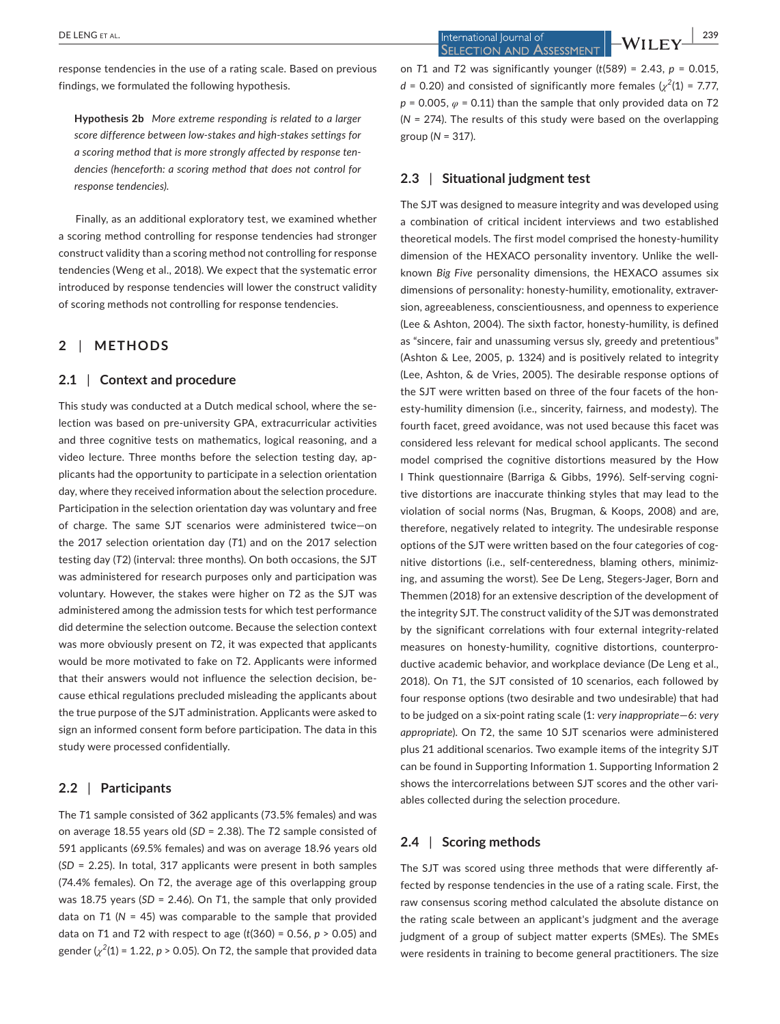response tendencies in the use of a rating scale. Based on previous findings, we formulated the following hypothesis.

**Hypothesis 2b** *More extreme responding is related to a larger score difference between low‐stakes and high‐stakes settings for a scoring method that is more strongly affected by response ten‐ dencies (henceforth: a scoring method that does not control for response tendencies).*

Finally, as an additional exploratory test, we examined whether a scoring method controlling for response tendencies had stronger construct validity than a scoring method not controlling for response tendencies (Weng et al., 2018). We expect that the systematic error introduced by response tendencies will lower the construct validity of scoring methods not controlling for response tendencies.

## **2** | **METHODS**

#### **2.1** | **Context and procedure**

This study was conducted at a Dutch medical school, where the selection was based on pre‐university GPA, extracurricular activities and three cognitive tests on mathematics, logical reasoning, and a video lecture. Three months before the selection testing day, applicants had the opportunity to participate in a selection orientation day, where they received information about the selection procedure. Participation in the selection orientation day was voluntary and free of charge. The same SJT scenarios were administered twice—on the 2017 selection orientation day (*T*1) and on the 2017 selection testing day (*T*2) (interval: three months). On both occasions, the SJT was administered for research purposes only and participation was voluntary. However, the stakes were higher on *T*2 as the SJT was administered among the admission tests for which test performance did determine the selection outcome. Because the selection context was more obviously present on *T*2, it was expected that applicants would be more motivated to fake on *T*2. Applicants were informed that their answers would not influence the selection decision, be‐ cause ethical regulations precluded misleading the applicants about the true purpose of the SJT administration. Applicants were asked to sign an informed consent form before participation. The data in this study were processed confidentially.

#### **2.2** | **Participants**

The *T*1 sample consisted of 362 applicants (73.5% females) and was on average 18.55 years old (*SD* = 2.38). The *T*2 sample consisted of 591 applicants (69.5% females) and was on average 18.96 years old (*SD* = 2.25). In total, 317 applicants were present in both samples (74.4% females). On *T*2, the average age of this overlapping group was 18.75 years (*SD* = 2.46). On *T*1, the sample that only provided data on *T*1 (*N* = 45) was comparable to the sample that provided data on *T*1 and *T*2 with respect to age (*t*(360) = 0.56, *p* > 0.05) and gender  $(\chi^2(1)$  = 1.22,  $p > 0.05$ ). On T2, the sample that provided data

 **|** DE LENG et al. **239 SELECTION AND ASSESSMENT** 

on *T*1 and *T*2 was significantly younger (*t*(589) = 2.43, *p* = 0.015,  $d = 0.20$ ) and consisted of significantly more females  $(\chi^2(1) = 7.77)$ , *p* = 0.005, *φ* = 0.11) than the sample that only provided data on *T*2 (*N* = 274). The results of this study were based on the overlapping group (*N* = 317).

#### **2.3** | **Situational judgment test**

The SJT was designed to measure integrity and was developed using a combination of critical incident interviews and two established theoretical models. The first model comprised the honesty‐humility dimension of the HEXACO personality inventory. Unlike the well‐ known *Big Five* personality dimensions, the HEXACO assumes six dimensions of personality: honesty-humility, emotionality, extraversion, agreeableness, conscientiousness, and openness to experience (Lee & Ashton, 2004). The sixth factor, honesty‐humility, is defined as "sincere, fair and unassuming versus sly, greedy and pretentious" (Ashton & Lee, 2005, p. 1324) and is positively related to integrity (Lee, Ashton, & de Vries, 2005). The desirable response options of the SJT were written based on three of the four facets of the hon‐ esty-humility dimension (i.e., sincerity, fairness, and modesty). The fourth facet, greed avoidance, was not used because this facet was considered less relevant for medical school applicants. The second model comprised the cognitive distortions measured by the How I Think questionnaire (Barriga & Gibbs, 1996). Self‐serving cogni‐ tive distortions are inaccurate thinking styles that may lead to the violation of social norms (Nas, Brugman, & Koops, 2008) and are, therefore, negatively related to integrity. The undesirable response options of the SJT were written based on the four categories of cognitive distortions (i.e., self-centeredness, blaming others, minimizing, and assuming the worst). See De Leng, Stegers‐Jager, Born and Themmen (2018) for an extensive description of the development of the integrity SJT. The construct validity of the SJT was demonstrated by the significant correlations with four external integrity‐related measures on honesty-humility, cognitive distortions, counterproductive academic behavior, and workplace deviance (De Leng et al., 2018). On *T*1, the SJT consisted of 10 scenarios, each followed by four response options (two desirable and two undesirable) that had to be judged on a six‐point rating scale (1: *very inappropriate*—6: *very appropriate*). On *T*2, the same 10 SJT scenarios were administered plus 21 additional scenarios. Two example items of the integrity SJT can be found in Supporting Information 1. Supporting Information 2 shows the intercorrelations between SJT scores and the other vari‐ ables collected during the selection procedure.

#### **2.4** | **Scoring methods**

The SJT was scored using three methods that were differently af‐ fected by response tendencies in the use of a rating scale. First, the raw consensus scoring method calculated the absolute distance on the rating scale between an applicant's judgment and the average judgment of a group of subject matter experts (SMEs). The SMEs were residents in training to become general practitioners. The size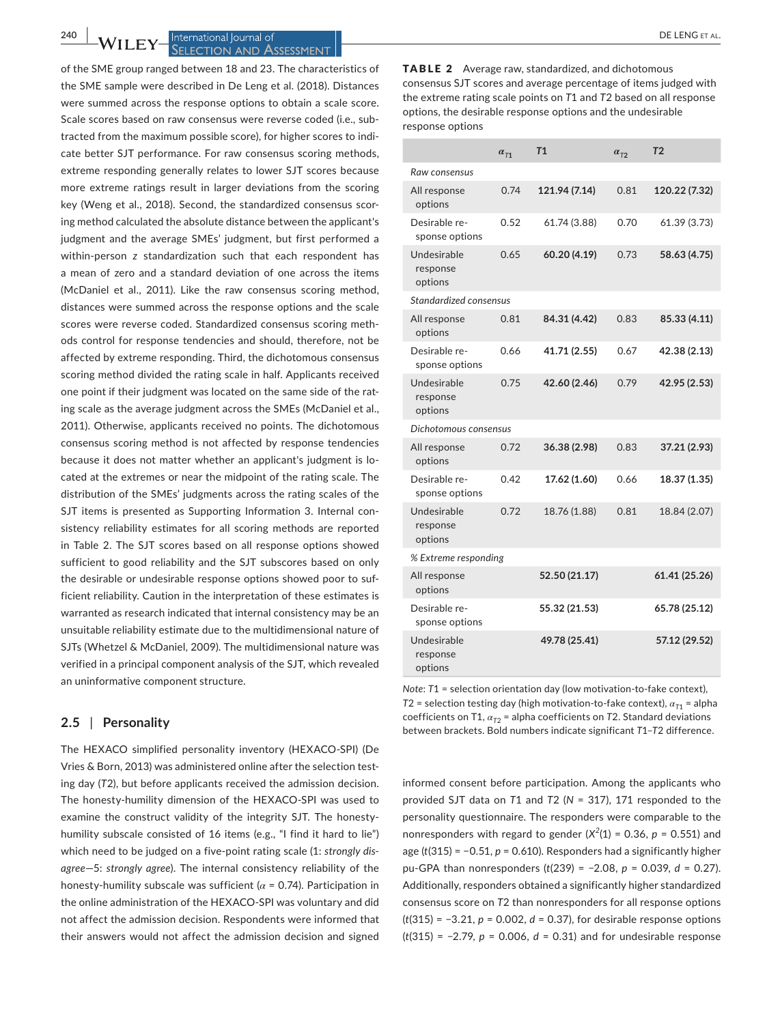#### **240 | M/H FY International Journal of All Contracts and All Contracts and DE LENG ET AL. SELECTION AND ASSESSMENT**

of the SME group ranged between 18 and 23. The characteristics of the SME sample were described in De Leng et al. (2018). Distances were summed across the response options to obtain a scale score. Scale scores based on raw consensus were reverse coded (i.e., sub‐ tracted from the maximum possible score), for higher scores to indi‐ cate better SJT performance. For raw consensus scoring methods, extreme responding generally relates to lower SJT scores because more extreme ratings result in larger deviations from the scoring key (Weng et al., 2018). Second, the standardized consensus scor‐ ing method calculated the absolute distance between the applicant's judgment and the average SMEs' judgment, but first performed a within‐person *z* standardization such that each respondent has a mean of zero and a standard deviation of one across the items (McDaniel et al., 2011). Like the raw consensus scoring method, distances were summed across the response options and the scale scores were reverse coded. Standardized consensus scoring meth‐ ods control for response tendencies and should, therefore, not be affected by extreme responding. Third, the dichotomous consensus scoring method divided the rating scale in half. Applicants received one point if their judgment was located on the same side of the rating scale as the average judgment across the SMEs (McDaniel et al., 2011). Otherwise, applicants received no points. The dichotomous consensus scoring method is not affected by response tendencies because it does not matter whether an applicant's judgment is lo‐ cated at the extremes or near the midpoint of the rating scale. The distribution of the SMEs' judgments across the rating scales of the SJT items is presented as Supporting Information 3. Internal consistency reliability estimates for all scoring methods are reported in Table 2. The SJT scores based on all response options showed sufficient to good reliability and the SJT subscores based on only the desirable or undesirable response options showed poor to suf‐ ficient reliability. Caution in the interpretation of these estimates is warranted as research indicated that internal consistency may be an unsuitable reliability estimate due to the multidimensional nature of SJTs (Whetzel & McDaniel, 2009). The multidimensional nature was verified in a principal component analysis of the SJT, which revealed an uninformative component structure.

#### **2.5** | **Personality**

The HEXACO simplified personality inventory (HEXACO‐SPI) (De Vries & Born, 2013) was administered online after the selection test‐ ing day (*T*2), but before applicants received the admission decision. The honesty‐humility dimension of the HEXACO‐SPI was used to examine the construct validity of the integrity SJT. The honesty‐ humility subscale consisted of 16 items (e.g., "I find it hard to lie") which need to be judged on a five‐point rating scale (1: *strongly dis‐ agree*—5: *strongly agree*). The internal consistency reliability of the honesty‐humility subscale was sufficient (*α* = 0.74). Participation in the online administration of the HEXACO‐SPI was voluntary and did not affect the admission decision. Respondents were informed that their answers would not affect the admission decision and signed

TABLE 2 Average raw, standardized, and dichotomous consensus SJT scores and average percentage of items judged with the extreme rating scale points on *T*1 and *T*2 based on all response options, the desirable response options and the undesirable response options

|                                    | $\alpha_{T1}$ | T1            | $\alpha_{\tau2}$ | T <sub>2</sub> |  |
|------------------------------------|---------------|---------------|------------------|----------------|--|
| Raw consensus                      |               |               |                  |                |  |
| All response<br>options            | 0.74          | 121.94 (7.14) | 0.81             | 120.22 (7.32)  |  |
| Desirable re-<br>sponse options    | 0.52          | 61.74 (3.88)  | 0.70             | 61.39 (3.73)   |  |
| Undesirable<br>response<br>options | 0.65          | 60.20 (4.19)  | 0.73             | 58.63 (4.75)   |  |
| Standardized consensus             |               |               |                  |                |  |
| All response<br>options            | 0.81          | 84.31 (4.42)  | 0.83             | 85.33 (4.11)   |  |
| Desirable re-<br>sponse options    | 0.66          | 41.71 (2.55)  | 0.67             | 42.38 (2.13)   |  |
| Undesirable<br>response<br>options | 0.75          | 42.60 (2.46)  | 0.79             | 42.95 (2.53)   |  |
| Dichotomous consensus              |               |               |                  |                |  |
| All response<br>options            | 0.72          | 36.38 (2.98)  | 0.83             | 37.21 (2.93)   |  |
| Desirable re-<br>sponse options    | 0.42          | 17.62 (1.60)  | 0.66             | 18.37 (1.35)   |  |
| Undesirable<br>response<br>options | 0.72          | 18.76 (1.88)  | 0.81             | 18.84 (2.07)   |  |
| % Extreme responding               |               |               |                  |                |  |
| All response<br>options            |               | 52.50 (21.17) |                  | 61.41 (25.26)  |  |
| Desirable re-<br>sponse options    |               | 55.32 (21.53) |                  | 65.78 (25.12)  |  |
| Undesirable<br>response<br>options |               | 49.78 (25.41) |                  | 57.12 (29.52)  |  |

*Note*: *T*1 = selection orientation day (low motivation‐to‐fake context),  $T2$  = selection testing day (high motivation-to-fake context),  $\alpha_{T1}$  = alpha coefficients on T1, *αT*<sup>2</sup> = alpha coefficients on *T*2. Standard deviations between brackets. Bold numbers indicate significant *T*1–*T*2 difference.

informed consent before participation. Among the applicants who provided SJT data on *T*1 and *T*2 (*N* = 317), 171 responded to the personality questionnaire. The responders were comparable to the nonresponders with regard to gender  $(X^2(1) = 0.36, p = 0.551)$  and age (*t*(315) = −0.51, *p* = 0.610). Responders had a significantly higher pu‐GPA than nonresponders (*t*(239) = −2.08, *p* = 0.039, *d* = 0.27). Additionally, responders obtained a significantly higher standardized consensus score on *T*2 than nonresponders for all response options (*t*(315) = −3.21, *p* = 0.002, *d* = 0.37), for desirable response options (*t*(315) = −2.79, *p* = 0.006, *d* = 0.31) and for undesirable response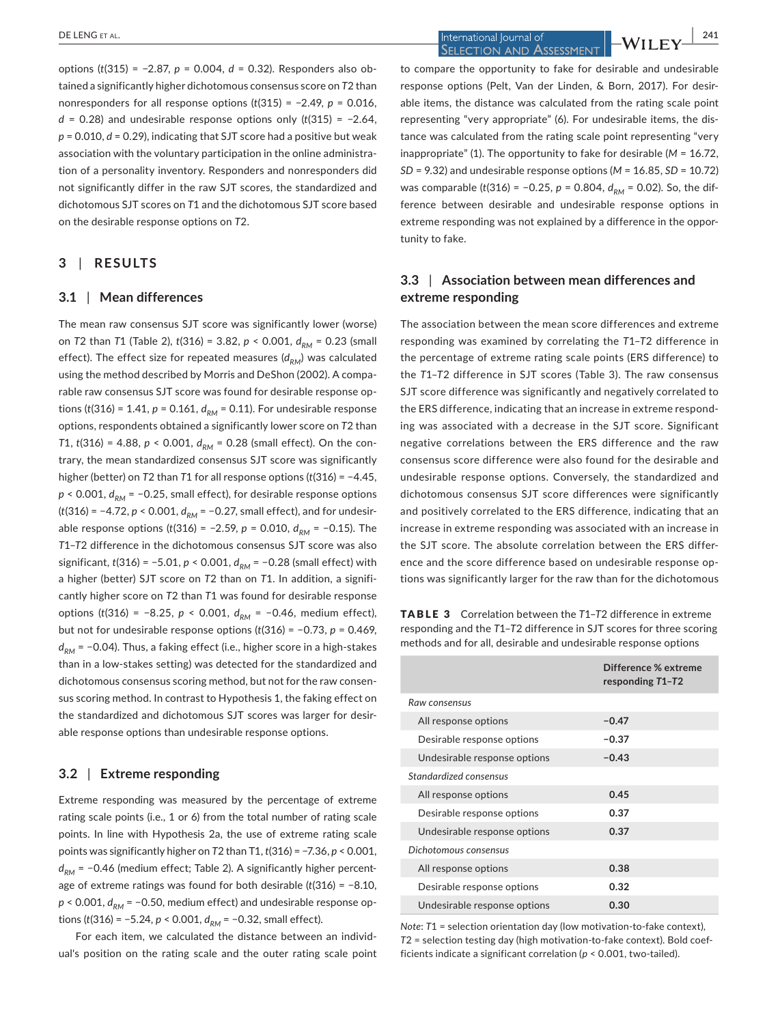options (*t*(315) = −2.87, *p* = 0.004, *d* = 0.32). Responders also ob‐ tained a significantly higher dichotomous consensus score on *T*2 than nonresponders for all response options (*t*(315) = −2.49, *p* = 0.016, *d* = 0.28) and undesirable response options only (*t*(315) = −2.64, *p* = 0.010, *d* = 0.29), indicating that SJT score had a positive but weak association with the voluntary participation in the online administration of a personality inventory. Responders and nonresponders did not significantly differ in the raw SJT scores, the standardized and dichotomous SJT scores on *T*1 and the dichotomous SJT score based on the desirable response options on *T*2.

## **3** | **RESULTS**

#### **3.1** | **Mean differences**

The mean raw consensus SJT score was significantly lower (worse) on *T2* than *T1* (Table 2), *t*(316) = 3.82, *p* < 0.001,  $d_{PM}$  = 0.23 (small effect). The effect size for repeated measures ( $d_{DM}$ ) was calculated using the method described by Morris and DeShon (2002). A compa‐ rable raw consensus SJT score was found for desirable response op‐ tions ( $t(316) = 1.41$ ,  $p = 0.161$ ,  $d_{RM} = 0.11$ ). For undesirable response options, respondents obtained a significantly lower score on *T*2 than *T*1,  $t(316) = 4.88$ ,  $p < 0.001$ ,  $d_{RM} = 0.28$  (small effect). On the contrary, the mean standardized consensus SJT score was significantly higher (better) on *T*2 than *T*1 for all response options (*t*(316) = −4.45,  $p$  < 0.001,  $d_{PM}$  = −0.25, small effect), for desirable response options (*t*(316) = −4.72, *p* < 0.001,  $d_{RM}$  = −0.27, small effect), and for undesirable response options (*t*(316) = −2.59, *p* = 0.010,  $d_{RM}$  = −0.15). The *T*1–*T*2 difference in the dichotomous consensus SJT score was also significant, *t*(316) = −5.01, *p* < 0.001,  $d_{RM}$  = −0.28 (small effect) with a higher (better) SJT score on *T*2 than on *T*1. In addition, a signifi‐ cantly higher score on *T*2 than *T*1 was found for desirable response options (*t*(316) = −8.25, *p* < 0.001,  $d_{PM}$  = −0.46, medium effect), but not for undesirable response options (*t*(316) = −0.73, *p* = 0.469, *d<sub>RM</sub>* = −0.04). Thus, a faking effect (i.e., higher score in a high-stakes than in a low‐stakes setting) was detected for the standardized and dichotomous consensus scoring method, but not for the raw consen‐ sus scoring method. In contrast to Hypothesis 1, the faking effect on the standardized and dichotomous SJT scores was larger for desir‐ able response options than undesirable response options.

#### **3.2** | **Extreme responding**

Extreme responding was measured by the percentage of extreme rating scale points (i.e., 1 or 6) from the total number of rating scale points. In line with Hypothesis 2a, the use of extreme rating scale points was significantly higher on *T*2 than T1, *t*(316) = −7.36, *p* < 0.001, *d<sub>PM</sub>* = −0.46 (medium effect; Table 2). A significantly higher percentage of extreme ratings was found for both desirable (*t*(316) = −8.10,  $p$  < 0.001,  $d_{PM}$  = −0.50, medium effect) and undesirable response options (*t*(316) = −5.24, *p* < 0.001,  $d_{RM}$  = −0.32, small effect).

For each item, we calculated the distance between an individ‐ ual's position on the rating scale and the outer rating scale point

 **DE LENG** ET AL. **241**<br>**1 CELENG** ET AL. **241**<br>**241 SELECTION AND ASSESSMENT** 

to compare the opportunity to fake for desirable and undesirable response options (Pelt, Van der Linden, & Born, 2017). For desir‐ able items, the distance was calculated from the rating scale point representing "very appropriate" (6). For undesirable items, the dis‐ tance was calculated from the rating scale point representing "very inappropriate" (1). The opportunity to fake for desirable (*M* = 16.72, *SD* = 9.32) and undesirable response options (*M* = 16.85, *SD* = 10.72) was comparable (*t*(316) = −0.25, *p* = 0.804,  $d_{PM}$  = 0.02). So, the difference between desirable and undesirable response options in extreme responding was not explained by a difference in the opportunity to fake.

# **3.3** | **Association between mean differences and extreme responding**

The association between the mean score differences and extreme responding was examined by correlating the *T*1–*T*2 difference in the percentage of extreme rating scale points (ERS difference) to the *T*1–*T*2 difference in SJT scores (Table 3). The raw consensus SJT score difference was significantly and negatively correlated to the ERS difference, indicating that an increase in extreme respond‐ ing was associated with a decrease in the SJT score. Significant negative correlations between the ERS difference and the raw consensus score difference were also found for the desirable and undesirable response options. Conversely, the standardized and dichotomous consensus SJT score differences were significantly and positively correlated to the ERS difference, indicating that an increase in extreme responding was associated with an increase in the SJT score. The absolute correlation between the ERS differ‐ ence and the score difference based on undesirable response options was significantly larger for the raw than for the dichotomous

TABLE 3 Correlation between the *T*1–*T*2 difference in extreme responding and the *T*1–*T*2 difference in SJT scores for three scoring methods and for all, desirable and undesirable response options

|                              | Difference % extreme<br>responding T1-T2 |
|------------------------------|------------------------------------------|
| Raw consensus                |                                          |
| All response options         | $-0.47$                                  |
| Desirable response options   | $-0.37$                                  |
| Undesirable response options | $-0.43$                                  |
| Standardized consensus       |                                          |
| All response options         | 0.45                                     |
| Desirable response options   | 0.37                                     |
| Undesirable response options | 0.37                                     |
| Dichotomous consensus        |                                          |
| All response options         | 0.38                                     |
| Desirable response options   | 0.32                                     |
| Undesirable response options | 0.30                                     |

*Note*: T1 = selection orientation day (low motivation-to-fake context), *T*2 = selection testing day (high motivation‐to‐fake context). Bold coef‐ ficients indicate a significant correlation ( $p < 0.001$ , two-tailed).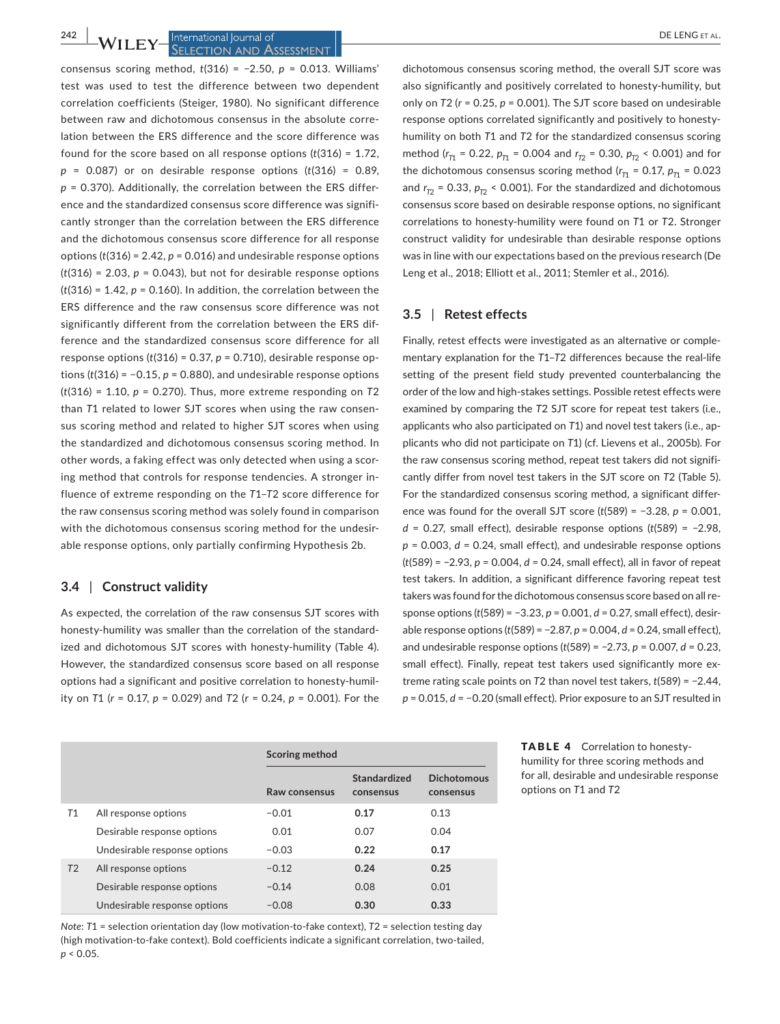**SELECTION AND ASSESSMENT** 

consensus scoring method, *t*(316) = −2.50, *p* = 0.013. Williams' test was used to test the difference between two dependent correlation coefficients (Steiger, 1980). No significant difference between raw and dichotomous consensus in the absolute corre‐ lation between the ERS difference and the score difference was found for the score based on all response options (*t*(316) = 1.72, *p* = 0.087) or on desirable response options (*t*(316) = 0.89, *p* = 0.370). Additionally, the correlation between the ERS differ‐ ence and the standardized consensus score difference was signifi‐ cantly stronger than the correlation between the ERS difference and the dichotomous consensus score difference for all response options (*t*(316) = 2.42, *p* = 0.016) and undesirable response options  $(t(316) = 2.03, p = 0.043)$ , but not for desirable response options  $(t(316) = 1.42, p = 0.160)$ . In addition, the correlation between the ERS difference and the raw consensus score difference was not significantly different from the correlation between the ERS dif‐ ference and the standardized consensus score difference for all response options  $(t(316) = 0.37, p = 0.710)$ , desirable response options  $(t(316) = -0.15, p = 0.880)$ , and undesirable response options (*t*(316) = 1.10, *p* = 0.270). Thus, more extreme responding on *T*2 than *T*1 related to lower SJT scores when using the raw consen‐ sus scoring method and related to higher SJT scores when using the standardized and dichotomous consensus scoring method. In other words, a faking effect was only detected when using a scor‐ ing method that controls for response tendencies. A stronger in‐ fluence of extreme responding on the *T*1–*T*2 score difference for the raw consensus scoring method was solely found in comparison with the dichotomous consensus scoring method for the undesirable response options, only partially confirming Hypothesis 2b.

#### **3.4** | **Construct validity**

As expected, the correlation of the raw consensus SJT scores with honesty‐humility was smaller than the correlation of the standard‐ ized and dichotomous SJT scores with honesty-humility (Table 4). However, the standardized consensus score based on all response options had a significant and positive correlation to honesty‐humil‐ ity on *T*1 (*r* = 0.17, *p* = 0.029) and *T*2 (*r* = 0.24, *p* = 0.001). For the

dichotomous consensus scoring method, the overall SJT score was also significantly and positively correlated to honesty‐humility, but only on *T*2 (*r* = 0.25, *p* = 0.001). The SJT score based on undesirable response options correlated significantly and positively to honesty‐ humility on both *T*1 and *T*2 for the standardized consensus scoring method (*r <sup>T</sup>*<sup>1</sup> = 0.22, *pT*<sup>1</sup> = 0.004 and *r <sup>T</sup>*<sup>2</sup> = 0.30, *pT*<sup>2</sup> < 0.001) and for the dichotomous consensus scoring method ( $r_{T1}$  = 0.17,  $p_{T1}$  = 0.023 and  $r_{T2}$  = 0.33,  $p_{T2}$  < 0.001). For the standardized and dichotomous consensus score based on desirable response options, no significant correlations to honesty‐humility were found on *T*1 or *T*2. Stronger construct validity for undesirable than desirable response options was in line with our expectations based on the previous research (De Leng et al., 2018; Elliott et al., 2011; Stemler et al., 2016).

#### **3.5** | **Retest effects**

Finally, retest effects were investigated as an alternative or comple‐ mentary explanation for the *T*1–*T*2 differences because the real‐life setting of the present field study prevented counterbalancing the order of the low and high‐stakes settings. Possible retest effects were examined by comparing the *T*2 SJT score for repeat test takers (i.e., applicants who also participated on *T*1) and novel test takers (i.e., ap‐ plicants who did not participate on *T*1) (cf. Lievens et al., 2005b). For the raw consensus scoring method, repeat test takers did not significantly differ from novel test takers in the SJT score on *T*2 (Table 5). For the standardized consensus scoring method, a significant differ‐ ence was found for the overall SJT score (*t*(589) = −3.28, *p* = 0.001, *d* = 0.27, small effect), desirable response options (*t*(589) = −2.98, *p* = 0.003, *d* = 0.24, small effect), and undesirable response options (*t*(589) = −2.93, *p* = 0.004, *d* = 0.24, small effect), all in favor of repeat test takers. In addition, a significant difference favoring repeat test takers was found for the dichotomous consensus score based on all re‐ sponse options (*t*(589) = −3.23, *p* = 0.001, *d* = 0.27, small effect), desir‐ able response options (*t*(589) = −2.87, *p* = 0.004, *d* = 0.24, small effect), and undesirable response options (*t*(589) = −2.73, *p* = 0.007, *d* = 0.23, small effect). Finally, repeat test takers used significantly more extreme rating scale points on *T*2 than novel test takers, *t*(589) = −2.44, *p* = 0.015, *d* = −0.20 (small effect). Prior exposure to an SJT resulted in

|                |                              | Scoring method |                           |                                 |
|----------------|------------------------------|----------------|---------------------------|---------------------------------|
|                |                              | Raw consensus  | Standardized<br>consensus | <b>Dichotomous</b><br>consensus |
| T1             | All response options         | $-0.01$        | 0.17                      | 0.13                            |
|                | Desirable response options   | 0.01           | 0.07                      | 0.04                            |
|                | Undesirable response options | $-0.03$        | 0.22                      | 0.17                            |
| T <sub>2</sub> | All response options         | $-0.12$        | 0.24                      | 0.25                            |
|                | Desirable response options   | $-0.14$        | 0.08                      | 0.01                            |
|                | Undesirable response options | $-0.08$        | 0.30                      | 0.33                            |

*Note*: T1 = selection orientation day (low motivation-to-fake context), T2 = selection testing day (high motivation‐to‐fake context). Bold coefficients indicate a significant correlation, two‐tailed, *p* < 0.05.

TABLE 4 Correlation to honestyhumility for three scoring methods and for all, desirable and undesirable response options on *T*1 and *T*2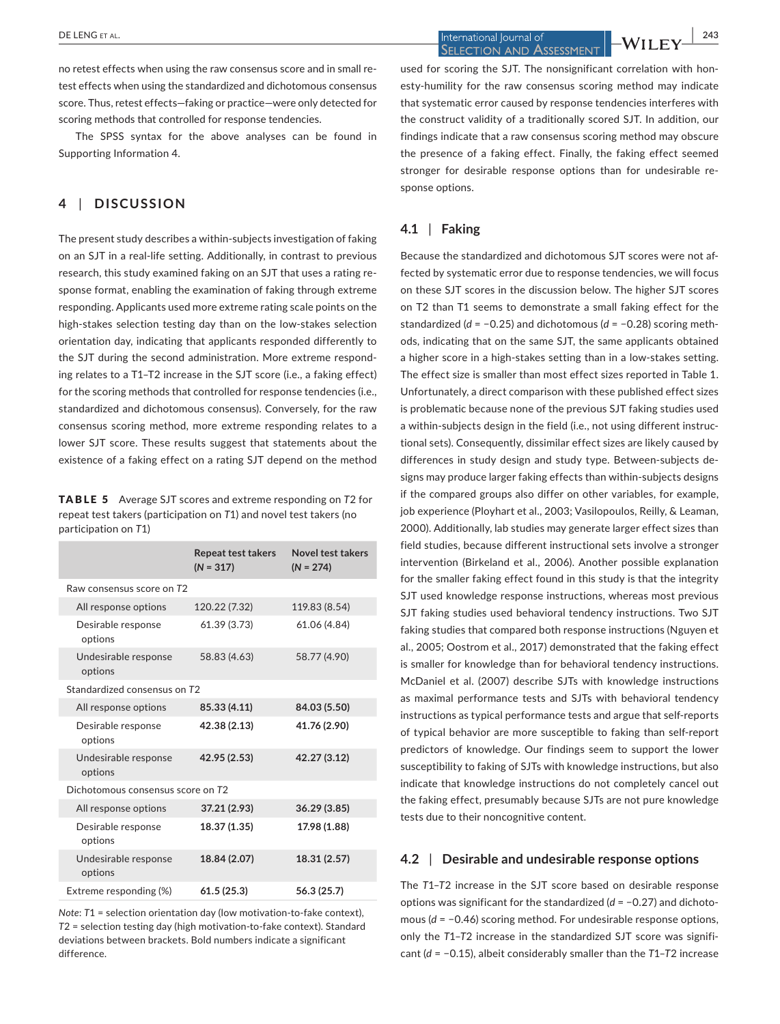**DE LENG** ET AL. **243**<br>**1** DE LENG ET AL. **243**<br>**243**<br>**243**<br>**243**<br>**243 SELECTION AND ASSESSMENT** 

no retest effects when using the raw consensus score and in small re‐ test effects when using the standardized and dichotomous consensus score. Thus, retest effects—faking or practice—were only detected for scoring methods that controlled for response tendencies.

The SPSS syntax for the above analyses can be found in Supporting Information 4.

# **4** | **DISCUSSION**

The present study describes a within‐subjects investigation of faking on an SJT in a real‐life setting. Additionally, in contrast to previous research, this study examined faking on an SJT that uses a rating re‐ sponse format, enabling the examination of faking through extreme responding. Applicants used more extreme rating scale points on the high-stakes selection testing day than on the low-stakes selection orientation day, indicating that applicants responded differently to the SJT during the second administration. More extreme respond‐ ing relates to a T1–T2 increase in the SJT score (i.e., a faking effect) for the scoring methods that controlled for response tendencies (i.e., standardized and dichotomous consensus). Conversely, for the raw consensus scoring method, more extreme responding relates to a lower SJT score. These results suggest that statements about the existence of a faking effect on a rating SJT depend on the method

TABLE 5 Average SJT scores and extreme responding on *T*2 for repeat test takers (participation on *T*1) and novel test takers (no participation on *T*1)

|                                   | <b>Repeat test takers</b><br>$(N = 317)$ | Novel test takers<br>$(N = 274)$ |  |  |
|-----------------------------------|------------------------------------------|----------------------------------|--|--|
| Raw consensus score on T2         |                                          |                                  |  |  |
| All response options              | 120.22 (7.32)                            | 119.83 (8.54)                    |  |  |
| Desirable response<br>options     | 61.39 (3.73)                             | 61.06 (4.84)                     |  |  |
| Undesirable response<br>options   | 58.83 (4.63)                             | 58.77 (4.90)                     |  |  |
| Standardized consensus on T2      |                                          |                                  |  |  |
| All response options              | 85.33 (4.11)                             | 84.03 (5.50)                     |  |  |
| Desirable response<br>options     | 42.38 (2.13)                             | 41.76 (2.90)                     |  |  |
| Undesirable response<br>options   | 42.95 (2.53)                             | 42.27 (3.12)                     |  |  |
| Dichotomous consensus score on T2 |                                          |                                  |  |  |
| All response options              | 37.21 (2.93)                             | 36.29 (3.85)                     |  |  |
| Desirable response<br>options     | 18.37 (1.35)                             | 17.98 (1.88)                     |  |  |
| Undesirable response<br>options   | 18.84 (2.07)                             | 18.31 (2.57)                     |  |  |
| Extreme responding (%)            | 61.5(25.3)                               | 56.3 (25.7)                      |  |  |

*Note*: *T*1 = selection orientation day (low motivation‐to‐fake context), *T*2 = selection testing day (high motivation‐to‐fake context). Standard deviations between brackets. Bold numbers indicate a significant difference.

used for scoring the SJT. The nonsignificant correlation with hon‐ esty-humility for the raw consensus scoring method may indicate that systematic error caused by response tendencies interferes with the construct validity of a traditionally scored SJT. In addition, our findings indicate that a raw consensus scoring method may obscure the presence of a faking effect. Finally, the faking effect seemed stronger for desirable response options than for undesirable re‐ sponse options.

## **4.1** | **Faking**

Because the standardized and dichotomous SJT scores were not af‐ fected by systematic error due to response tendencies, we will focus on these SJT scores in the discussion below. The higher SJT scores on T2 than T1 seems to demonstrate a small faking effect for the standardized (*d* = −0.25) and dichotomous (*d* = −0.28) scoring meth‐ ods, indicating that on the same SJT, the same applicants obtained a higher score in a high-stakes setting than in a low-stakes setting. The effect size is smaller than most effect sizes reported in Table 1. Unfortunately, a direct comparison with these published effect sizes is problematic because none of the previous SJT faking studies used a within‐subjects design in the field (i.e., not using different instruc‐ tional sets). Consequently, dissimilar effect sizes are likely caused by differences in study design and study type. Between‐subjects de‐ signs may produce larger faking effects than within‐subjects designs if the compared groups also differ on other variables, for example, job experience (Ployhart et al., 2003; Vasilopoulos, Reilly, & Leaman, 2000). Additionally, lab studies may generate larger effect sizes than field studies, because different instructional sets involve a stronger intervention (Birkeland et al., 2006). Another possible explanation for the smaller faking effect found in this study is that the integrity SJT used knowledge response instructions, whereas most previous SJT faking studies used behavioral tendency instructions. Two SJT faking studies that compared both response instructions (Nguyen et al., 2005; Oostrom et al., 2017) demonstrated that the faking effect is smaller for knowledge than for behavioral tendency instructions. McDaniel et al. (2007) describe SJTs with knowledge instructions as maximal performance tests and SJTs with behavioral tendency instructions as typical performance tests and argue that self-reports of typical behavior are more susceptible to faking than self‐report predictors of knowledge. Our findings seem to support the lower susceptibility to faking of SJTs with knowledge instructions, but also indicate that knowledge instructions do not completely cancel out the faking effect, presumably because SJTs are not pure knowledge tests due to their noncognitive content.

#### **4.2** | **Desirable and undesirable response options**

The *T*1–*T*2 increase in the SJT score based on desirable response options was significant for the standardized (*d* = −0.27) and dichoto‐ mous (*d* = −0.46) scoring method. For undesirable response options, only the *T*1–*T*2 increase in the standardized SJT score was signifi‐ cant (*d* = −0.15), albeit considerably smaller than the *T*1–*T*2 increase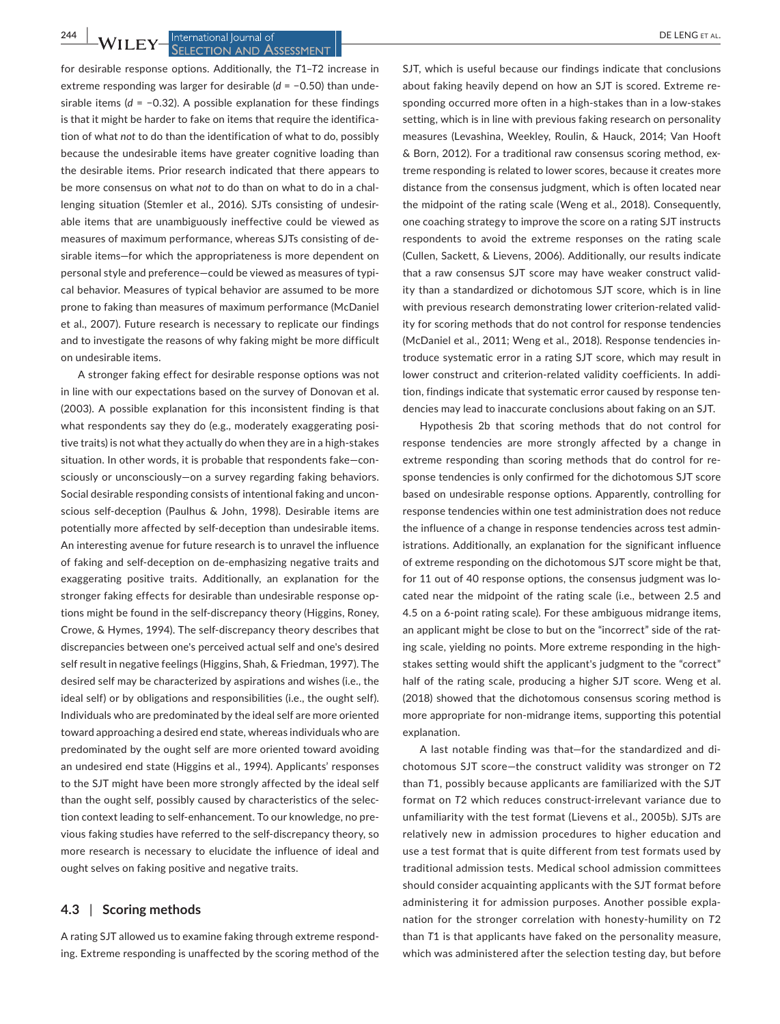# **SELECTION AND ASSESSMENT**

for desirable response options. Additionally, the *T*1–*T*2 increase in extreme responding was larger for desirable (*d* = −0.50) than unde‐ sirable items (*d* = −0.32). A possible explanation for these findings is that it might be harder to fake on items that require the identification of what *not* to do than the identification of what to do, possibly because the undesirable items have greater cognitive loading than the desirable items. Prior research indicated that there appears to be more consensus on what *not* to do than on what to do in a chal‐ lenging situation (Stemler et al., 2016). SJTs consisting of undesir‐ able items that are unambiguously ineffective could be viewed as measures of maximum performance, whereas SJTs consisting of de‐ sirable items—for which the appropriateness is more dependent on personal style and preference—could be viewed as measures of typi‐ cal behavior. Measures of typical behavior are assumed to be more prone to faking than measures of maximum performance (McDaniel et al., 2007). Future research is necessary to replicate our findings and to investigate the reasons of why faking might be more difficult on undesirable items.

A stronger faking effect for desirable response options was not in line with our expectations based on the survey of Donovan et al. (2003). A possible explanation for this inconsistent finding is that what respondents say they do (e.g., moderately exaggerating positive traits) is not what they actually do when they are in a high‐stakes situation. In other words, it is probable that respondents fake—con‐ sciously or unconsciously—on a survey regarding faking behaviors. Social desirable responding consists of intentional faking and uncon‐ scious self‐deception (Paulhus & John, 1998). Desirable items are potentially more affected by self-deception than undesirable items. An interesting avenue for future research is to unravel the influence of faking and self‐deception on de‐emphasizing negative traits and exaggerating positive traits. Additionally, an explanation for the stronger faking effects for desirable than undesirable response op‐ tions might be found in the self‐discrepancy theory (Higgins, Roney, Crowe, & Hymes, 1994). The self‐discrepancy theory describes that discrepancies between one's perceived actual self and one's desired self result in negative feelings (Higgins, Shah, & Friedman, 1997). The desired self may be characterized by aspirations and wishes (i.e., the ideal self) or by obligations and responsibilities (i.e., the ought self). Individuals who are predominated by the ideal self are more oriented toward approaching a desired end state, whereas individuals who are predominated by the ought self are more oriented toward avoiding an undesired end state (Higgins et al., 1994). Applicants' responses to the SJT might have been more strongly affected by the ideal self than the ought self, possibly caused by characteristics of the selec‐ tion context leading to self‐enhancement. To our knowledge, no pre‐ vious faking studies have referred to the self‐discrepancy theory, so more research is necessary to elucidate the influence of ideal and ought selves on faking positive and negative traits.

#### **4.3** | **Scoring methods**

A rating SJT allowed us to examine faking through extreme respond‐ ing. Extreme responding is unaffected by the scoring method of the

SJT, which is useful because our findings indicate that conclusions about faking heavily depend on how an SJT is scored. Extreme re‐ sponding occurred more often in a high‐stakes than in a low‐stakes setting, which is in line with previous faking research on personality measures (Levashina, Weekley, Roulin, & Hauck, 2014; Van Hooft & Born, 2012). For a traditional raw consensus scoring method, ex‐ treme responding is related to lower scores, because it creates more distance from the consensus judgment, which is often located near the midpoint of the rating scale (Weng et al., 2018). Consequently, one coaching strategy to improve the score on a rating SJT instructs respondents to avoid the extreme responses on the rating scale (Cullen, Sackett, & Lievens, 2006). Additionally, our results indicate that a raw consensus SJT score may have weaker construct valid‐ ity than a standardized or dichotomous SJT score, which is in line with previous research demonstrating lower criterion-related validity for scoring methods that do not control for response tendencies (McDaniel et al., 2011; Weng et al., 2018). Response tendencies in‐ troduce systematic error in a rating SJT score, which may result in lower construct and criterion-related validity coefficients. In addition, findings indicate that systematic error caused by response ten‐ dencies may lead to inaccurate conclusions about faking on an SJT.

Hypothesis 2b that scoring methods that do not control for response tendencies are more strongly affected by a change in extreme responding than scoring methods that do control for re‐ sponse tendencies is only confirmed for the dichotomous SJT score based on undesirable response options. Apparently, controlling for response tendencies within one test administration does not reduce the influence of a change in response tendencies across test admin‐ istrations. Additionally, an explanation for the significant influence of extreme responding on the dichotomous SJT score might be that, for 11 out of 40 response options, the consensus judgment was located near the midpoint of the rating scale (i.e., between 2.5 and 4.5 on a 6‐point rating scale). For these ambiguous midrange items, an applicant might be close to but on the "incorrect" side of the rating scale, yielding no points. More extreme responding in the high‐ stakes setting would shift the applicant's judgment to the "correct" half of the rating scale, producing a higher SJT score. Weng et al. (2018) showed that the dichotomous consensus scoring method is more appropriate for non‐midrange items, supporting this potential explanation.

A last notable finding was that—for the standardized and di‐ chotomous SJT score—the construct validity was stronger on *T*2 than *T*1, possibly because applicants are familiarized with the SJT format on *T*2 which reduces construct‐irrelevant variance due to unfamiliarity with the test format (Lievens et al., 2005b). SJTs are relatively new in admission procedures to higher education and use a test format that is quite different from test formats used by traditional admission tests. Medical school admission committees should consider acquainting applicants with the SJT format before administering it for admission purposes. Another possible expla‐ nation for the stronger correlation with honesty‐humility on *T*2 than *T*1 is that applicants have faked on the personality measure, which was administered after the selection testing day, but before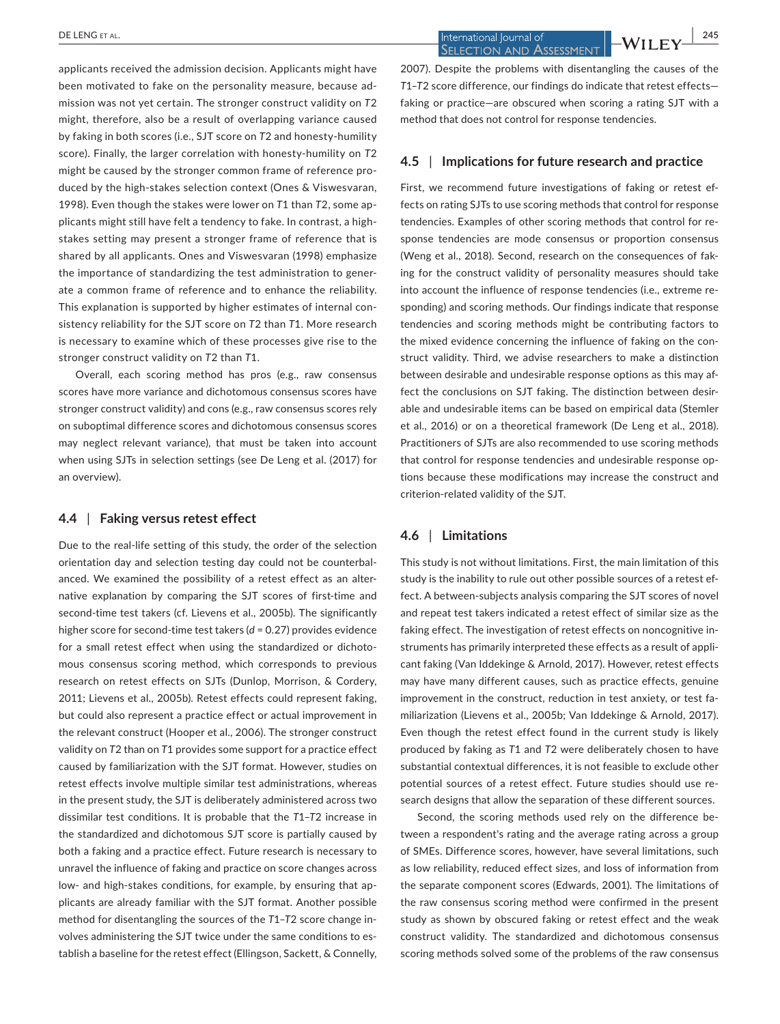applicants received the admission decision. Applicants might have been motivated to fake on the personality measure, because ad‐ mission was not yet certain. The stronger construct validity on *T*2 might, therefore, also be a result of overlapping variance caused by faking in both scores (i.e., SJT score on *T*2 and honesty‐humility score). Finally, the larger correlation with honesty‐humility on *T*2 might be caused by the stronger common frame of reference pro‐ duced by the high‐stakes selection context (Ones & Viswesvaran, 1998). Even though the stakes were lower on *T*1 than *T*2, some ap‐ plicants might still have felt a tendency to fake. In contrast, a high‐ stakes setting may present a stronger frame of reference that is shared by all applicants. Ones and Viswesvaran (1998) emphasize the importance of standardizing the test administration to gener‐ ate a common frame of reference and to enhance the reliability. This explanation is supported by higher estimates of internal con‐ sistency reliability for the SJT score on *T*2 than *T*1. More research is necessary to examine which of these processes give rise to the stronger construct validity on *T*2 than *T*1.

Overall, each scoring method has pros (e.g., raw consensus scores have more variance and dichotomous consensus scores have stronger construct validity) and cons (e.g., raw consensus scores rely on suboptimal difference scores and dichotomous consensus scores may neglect relevant variance), that must be taken into account when using SJTs in selection settings (see De Leng et al. (2017) for an overview).

#### **4.4** | **Faking versus retest effect**

Due to the real‐life setting of this study, the order of the selection orientation day and selection testing day could not be counterbal‐ anced. We examined the possibility of a retest effect as an alter‐ native explanation by comparing the SJT scores of first-time and second-time test takers (cf. Lievens et al., 2005b). The significantly higher score for second-time test takers (*d* = 0.27) provides evidence for a small retest effect when using the standardized or dichoto‐ mous consensus scoring method, which corresponds to previous research on retest effects on SJTs (Dunlop, Morrison, & Cordery, 2011; Lievens et al., 2005b). Retest effects could represent faking, but could also represent a practice effect or actual improvement in the relevant construct (Hooper et al., 2006). The stronger construct validity on *T*2 than on *T*1 provides some support for a practice effect caused by familiarization with the SJT format. However, studies on retest effects involve multiple similar test administrations, whereas in the present study, the SJT is deliberately administered across two dissimilar test conditions. It is probable that the *T*1–*T*2 increase in the standardized and dichotomous SJT score is partially caused by both a faking and a practice effect. Future research is necessary to unravel the influence of faking and practice on score changes across low- and high-stakes conditions, for example, by ensuring that applicants are already familiar with the SJT format. Another possible method for disentangling the sources of the *T*1–*T*2 score change in‐ volves administering the SJT twice under the same conditions to es‐ tablish a baseline for the retest effect (Ellingson, Sackett, & Connelly,

 **DE LENG ET AL. 245**<br> **EXECTION AND ASSESSMENT** 

2007). Despite the problems with disentangling the causes of the *T*1–*T*2 score difference, our findings do indicate that retest effects faking or practice—are obscured when scoring a rating SJT with a method that does not control for response tendencies.

## **4.5** | **Implications for future research and practice**

First, we recommend future investigations of faking or retest ef‐ fects on rating SJTs to use scoring methods that control for response tendencies. Examples of other scoring methods that control for re‐ sponse tendencies are mode consensus or proportion consensus (Weng et al., 2018). Second, research on the consequences of fak‐ ing for the construct validity of personality measures should take into account the influence of response tendencies (i.e., extreme re‐ sponding) and scoring methods. Our findings indicate that response tendencies and scoring methods might be contributing factors to the mixed evidence concerning the influence of faking on the construct validity. Third, we advise researchers to make a distinction between desirable and undesirable response options as this may af‐ fect the conclusions on SJT faking. The distinction between desirable and undesirable items can be based on empirical data (Stemler et al., 2016) or on a theoretical framework (De Leng et al., 2018). Practitioners of SJTs are also recommended to use scoring methods that control for response tendencies and undesirable response op‐ tions because these modifications may increase the construct and criterion‐related validity of the SJT.

#### **4.6** | **Limitations**

This study is not without limitations. First, the main limitation of this study is the inability to rule out other possible sources of a retest ef‐ fect. A between‐subjects analysis comparing the SJT scores of novel and repeat test takers indicated a retest effect of similar size as the faking effect. The investigation of retest effects on noncognitive in‐ struments has primarily interpreted these effects as a result of appli‐ cant faking (Van Iddekinge & Arnold, 2017). However, retest effects may have many different causes, such as practice effects, genuine improvement in the construct, reduction in test anxiety, or test familiarization (Lievens et al., 2005b; Van Iddekinge & Arnold, 2017). Even though the retest effect found in the current study is likely produced by faking as *T*1 and *T*2 were deliberately chosen to have substantial contextual differences, it is not feasible to exclude other potential sources of a retest effect. Future studies should use re‐ search designs that allow the separation of these different sources.

Second, the scoring methods used rely on the difference be‐ tween a respondent's rating and the average rating across a group of SMEs. Difference scores, however, have several limitations, such as low reliability, reduced effect sizes, and loss of information from the separate component scores (Edwards, 2001). The limitations of the raw consensus scoring method were confirmed in the present study as shown by obscured faking or retest effect and the weak construct validity. The standardized and dichotomous consensus scoring methods solved some of the problems of the raw consensus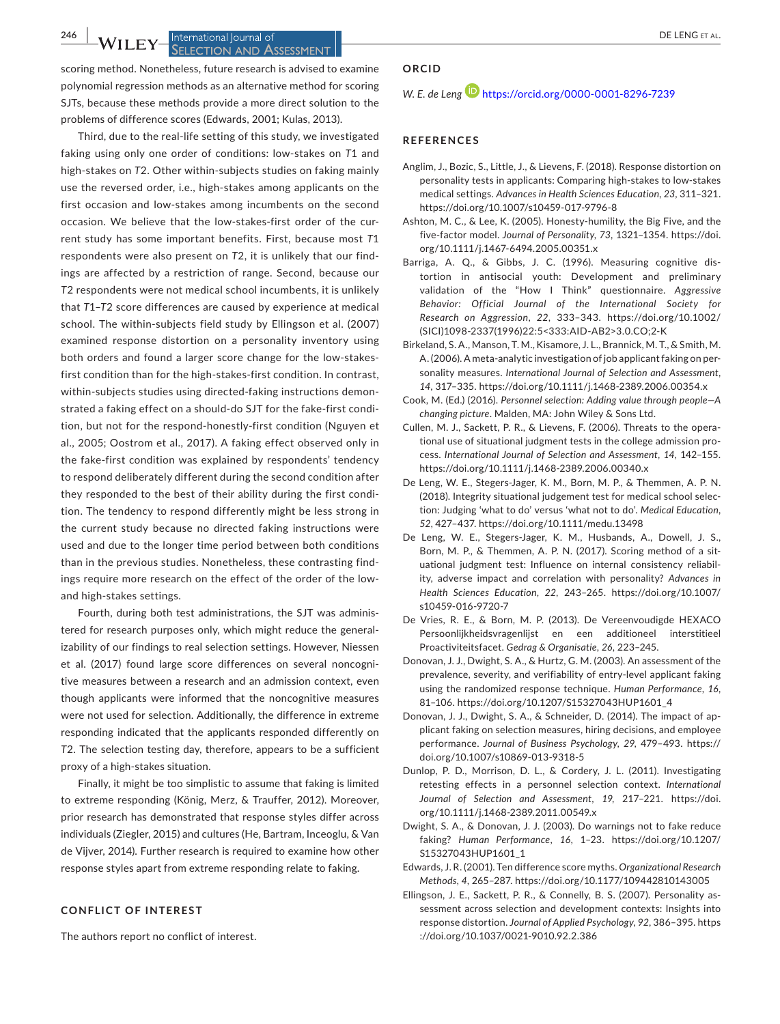#### **246 |**  DE LENG et al. **SELECTION AND ASSESSMENT**

scoring method. Nonetheless, future research is advised to examine polynomial regression methods as an alternative method for scoring SJTs, because these methods provide a more direct solution to the problems of difference scores (Edwards, 2001; Kulas, 2013).

Third, due to the real‐life setting of this study, we investigated faking using only one order of conditions: low‐stakes on *T*1 and high‐stakes on *T*2. Other within‐subjects studies on faking mainly use the reversed order, i.e., high‐stakes among applicants on the first occasion and low-stakes among incumbents on the second occasion. We believe that the low‐stakes‐first order of the cur‐ rent study has some important benefits. First, because most *T*1 respondents were also present on *T*2, it is unlikely that our find‐ ings are affected by a restriction of range. Second, because our *T*2 respondents were not medical school incumbents, it is unlikely that *T*1–*T*2 score differences are caused by experience at medical school. The within-subjects field study by Ellingson et al. (2007) examined response distortion on a personality inventory using both orders and found a larger score change for the low-stakesfirst condition than for the high-stakes-first condition. In contrast, within-subjects studies using directed-faking instructions demonstrated a faking effect on a should-do SJT for the fake-first condition, but not for the respond‐honestly‐first condition (Nguyen et al., 2005; Oostrom et al., 2017). A faking effect observed only in the fake‐first condition was explained by respondents' tendency to respond deliberately different during the second condition after they responded to the best of their ability during the first condi‐ tion. The tendency to respond differently might be less strong in the current study because no directed faking instructions were used and due to the longer time period between both conditions than in the previous studies. Nonetheless, these contrasting find‐ ings require more research on the effect of the order of the low‐ and high‐stakes settings.

Fourth, during both test administrations, the SJT was adminis‐ tered for research purposes only, which might reduce the general‐ izability of our findings to real selection settings. However, Niessen et al. (2017) found large score differences on several noncogni‐ tive measures between a research and an admission context, even though applicants were informed that the noncognitive measures were not used for selection. Additionally, the difference in extreme responding indicated that the applicants responded differently on *T*2. The selection testing day, therefore, appears to be a sufficient proxy of a high‐stakes situation.

Finally, it might be too simplistic to assume that faking is limited to extreme responding (König, Merz, & Trauffer, 2012). Moreover, prior research has demonstrated that response styles differ across individuals (Ziegler, 2015) and cultures (He, Bartram, Inceoglu, & Van de Vijver, 2014). Further research is required to examine how other response styles apart from extreme responding relate to faking.

#### **CONFLICT OF INTEREST**

The authors report no conflict of interest.

#### **ORCID**

*W. E. de Leng* <https://orcid.org/0000-0001-8296-7239>

#### **REFERENCES**

- Anglim, J., Bozic, S., Little, J., & Lievens, F. (2018). Response distortion on personality tests in applicants: Comparing high‐stakes to low‐stakes medical settings. *Advances in Health Sciences Education*, *23*, 311–321. <https://doi.org/10.1007/s10459-017-9796-8>
- Ashton, M. C., & Lee, K. (2005). Honesty‐humility, the Big Five, and the five‐factor model. *Journal of Personality*, *73*, 1321–1354. [https://doi.](https://doi.org/10.1111/j.1467-6494.2005.00351.x) [org/10.1111/j.1467-6494.2005.00351.x](https://doi.org/10.1111/j.1467-6494.2005.00351.x)
- Barriga, A. Q., & Gibbs, J. C. (1996). Measuring cognitive dis‐ tortion in antisocial youth: Development and preliminary validation of the "How I Think" questionnaire. *Aggressive Behavior: Official Journal of the International Society for Research on Aggression*, *22*, 333–343. [https://doi.org/10.1002/](https://doi.org/10.1002/(SICI)1098-2337(1996)22:5%3C333:AID-AB2%3E3.0.CO;2-K) [\(SICI\)1098-2337\(1996\)22:5<333:AID-AB2>3.0.CO;2-K](https://doi.org/10.1002/(SICI)1098-2337(1996)22:5%3C333:AID-AB2%3E3.0.CO;2-K)
- Birkeland, S. A., Manson, T. M., Kisamore, J. L., Brannick, M. T., & Smith, M. A. (2006). A meta‐analytic investigation of job applicant faking on per‐ sonality measures. *International Journal of Selection and Assessment*, *14*, 317–335. <https://doi.org/10.1111/j.1468-2389.2006.00354.x>
- Cook, M. (Ed.) (2016). *Personnel selection: Adding value through people—A changing picture*. Malden, MA: John Wiley & Sons Ltd.
- Cullen, M. J., Sackett, P. R., & Lievens, F. (2006). Threats to the opera‐ tional use of situational judgment tests in the college admission pro‐ cess. *International Journal of Selection and Assessment*, *14*, 142–155. <https://doi.org/10.1111/j.1468-2389.2006.00340.x>
- De Leng, W. E., Stegers‐Jager, K. M., Born, M. P., & Themmen, A. P. N. (2018). Integrity situational judgement test for medical school selec‐ tion: Judging 'what to do' versus 'what not to do'. *Medical Education*, *52*, 427–437. <https://doi.org/10.1111/medu.13498>
- De Leng, W. E., Stegers‐Jager, K. M., Husbands, A., Dowell, J. S., Born, M. P., & Themmen, A. P. N. (2017). Scoring method of a situational judgment test: Influence on internal consistency reliabil‐ ity, adverse impact and correlation with personality? *Advances in Health Sciences Education*, *22*, 243–265. [https://doi.org/10.1007/](https://doi.org/10.1007/s10459-016-9720-7) [s10459-016-9720-7](https://doi.org/10.1007/s10459-016-9720-7)
- De Vries, R. E., & Born, M. P. (2013). De Vereenvoudigde HEXACO Persoonlijkheidsvragenlijst en een additioneel interstitieel Proactiviteitsfacet. *Gedrag & Organisatie*, *26*, 223–245.
- Donovan, J. J., Dwight, S. A., & Hurtz, G. M. (2003). An assessment of the prevalence, severity, and verifiability of entry‐level applicant faking using the randomized response technique. *Human Performance*, *16*, 81–106. [https://doi.org/10.1207/S15327043HUP1601\\_4](https://doi.org/10.1207/S15327043HUP1601_4)
- Donovan, J. J., Dwight, S. A., & Schneider, D. (2014). The impact of ap‐ plicant faking on selection measures, hiring decisions, and employee performance. *Journal of Business Psychology*, *29*, 479–493. [https://](https://doi.org/10.1007/s10869-013-9318-5) [doi.org/10.1007/s10869-013-9318-5](https://doi.org/10.1007/s10869-013-9318-5)
- Dunlop, P. D., Morrison, D. L., & Cordery, J. L. (2011). Investigating retesting effects in a personnel selection context. *International Journal of Selection and Assessment*, *19*, 217–221. [https://doi.](https://doi.org/10.1111/j.1468-2389.2011.00549.x) [org/10.1111/j.1468-2389.2011.00549.x](https://doi.org/10.1111/j.1468-2389.2011.00549.x)
- Dwight, S. A., & Donovan, J. J. (2003). Do warnings not to fake reduce faking? *Human Performance*, *16*, 1–23. [https://doi.org/10.1207/](https://doi.org/10.1207/S15327043HUP1601_1) [S15327043HUP1601\\_1](https://doi.org/10.1207/S15327043HUP1601_1)
- Edwards, J. R. (2001). Ten difference score myths. *Organizational Research Methods*, *4*, 265–287.<https://doi.org/10.1177/109442810143005>
- Ellingson, J. E., Sackett, P. R., & Connelly, B. S. (2007). Personality as‐ sessment across selection and development contexts: Insights into response distortion. *Journal of Applied Psychology*, *92*, 386–395. [https](https://doi.org/10.1037/0021-9010.92.2.386) [://doi.org/10.1037/0021-9010.92.2.386](https://doi.org/10.1037/0021-9010.92.2.386)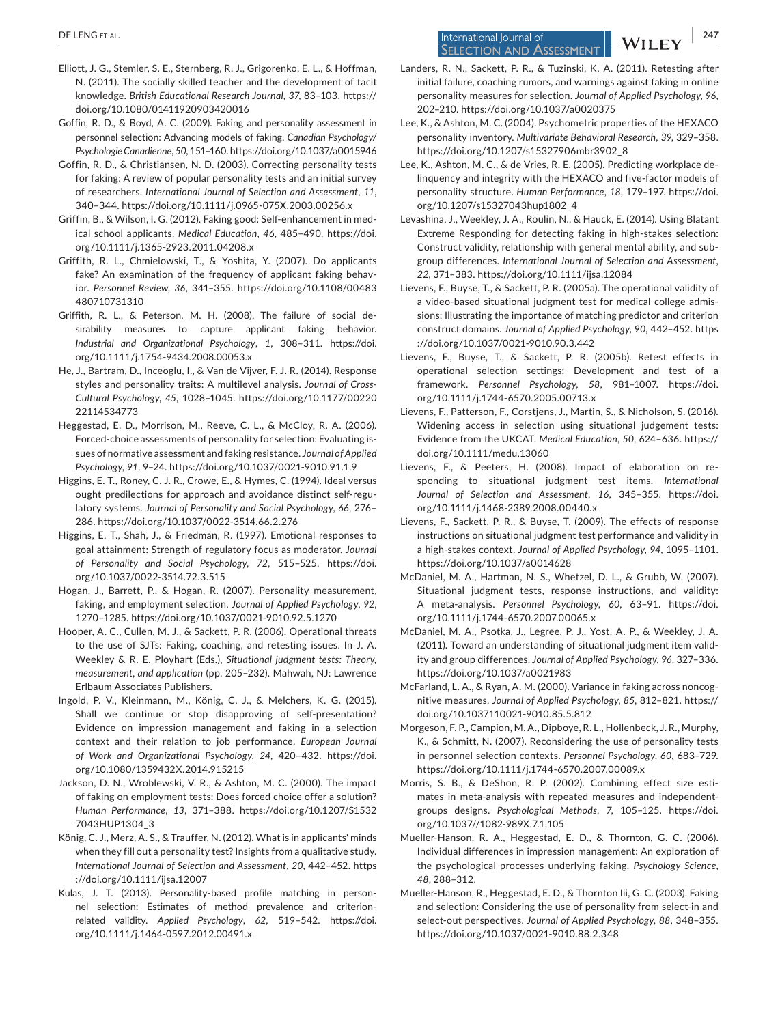**DE LENG** ET AL. **247**<br> **EXECUTE 2008**<br> **EXECUTE 2009**<br> **EXECUTE 2009**<br> **EXECUTE 2009**<br> **EXECUTE 2009 SELECTION AND ASSESSMENT** 

- Elliott, J. G., Stemler, S. E., Sternberg, R. J., Grigorenko, E. L., & Hoffman, N. (2011). The socially skilled teacher and the development of tacit knowledge. *British Educational Research Journal*, *37*, 83–103. [https://](https://doi.org/10.1080/01411920903420016) [doi.org/10.1080/01411920903420016](https://doi.org/10.1080/01411920903420016)
- Goffin, R. D., & Boyd, A. C. (2009). Faking and personality assessment in personnel selection: Advancing models of faking. *Canadian Psychology/ Psychologie Canadienne*, *50*, 151–160.<https://doi.org/10.1037/a0015946>
- Goffin, R. D., & Christiansen, N. D. (2003). Correcting personality tests for faking: A review of popular personality tests and an initial survey of researchers. *International Journal of Selection and Assessment*, *11*, 340–344.<https://doi.org/10.1111/j.0965-075X.2003.00256.x>
- Griffin, B., & Wilson, I. G. (2012). Faking good: Self‐enhancement in med‐ ical school applicants. *Medical Education*, *46*, 485–490. [https://doi.](https://doi.org/10.1111/j.1365-2923.2011.04208.x) [org/10.1111/j.1365-2923.2011.04208.x](https://doi.org/10.1111/j.1365-2923.2011.04208.x)
- Griffith, R. L., Chmielowski, T., & Yoshita, Y. (2007). Do applicants fake? An examination of the frequency of applicant faking behavior. *Personnel Review*, *36*, 341–355. [https://doi.org/10.1108/00483](https://doi.org/10.1108/00483480710731310) [480710731310](https://doi.org/10.1108/00483480710731310)
- Griffith, R. L., & Peterson, M. H. (2008). The failure of social de‐ sirability measures to capture applicant faking behavior. *Industrial and Organizational Psychology*, *1*, 308–311. [https://doi.](https://doi.org/10.1111/j.1754-9434.2008.00053.x) [org/10.1111/j.1754-9434.2008.00053.x](https://doi.org/10.1111/j.1754-9434.2008.00053.x)
- He, J., Bartram, D., Inceoglu, I., & Van de Vijver, F. J. R. (2014). Response styles and personality traits: A multilevel analysis. *Journal of Cross‐ Cultural Psychology*, *45*, 1028–1045. [https://doi.org/10.1177/00220](https://doi.org/10.1177/0022022114534773) [22114534773](https://doi.org/10.1177/0022022114534773)
- Heggestad, E. D., Morrison, M., Reeve, C. L., & McCloy, R. A. (2006). Forced‐choice assessments of personality for selection: Evaluating is‐ sues of normative assessment and faking resistance. *Journal of Applied Psychology*, *91*, 9–24.<https://doi.org/10.1037/0021-9010.91.1.9>
- Higgins, E. T., Roney, C. J. R., Crowe, E., & Hymes, C. (1994). Ideal versus ought predilections for approach and avoidance distinct self‐regu‐ latory systems. *Journal of Personality and Social Psychology*, *66*, 276– 286. <https://doi.org/10.1037/0022-3514.66.2.276>
- Higgins, E. T., Shah, J., & Friedman, R. (1997). Emotional responses to goal attainment: Strength of regulatory focus as moderator. *Journal of Personality and Social Psychology*, *72*, 515–525. [https://doi.](https://doi.org/10.1037/0022-3514.72.3.515) [org/10.1037/0022-3514.72.3.515](https://doi.org/10.1037/0022-3514.72.3.515)
- Hogan, J., Barrett, P., & Hogan, R. (2007). Personality measurement, faking, and employment selection. *Journal of Applied Psychology*, *92*, 1270–1285.<https://doi.org/10.1037/0021-9010.92.5.1270>
- Hooper, A. C., Cullen, M. J., & Sackett, P. R. (2006). Operational threats to the use of SJTs: Faking, coaching, and retesting issues. In J. A. Weekley & R. E. Ployhart (Eds.), *Situational judgment tests: Theory, measurement, and application* (pp. 205–232). Mahwah, NJ: Lawrence Erlbaum Associates Publishers.
- Ingold, P. V., Kleinmann, M., König, C. J., & Melchers, K. G. (2015). Shall we continue or stop disapproving of self‐presentation? Evidence on impression management and faking in a selection context and their relation to job performance. *European Journal of Work and Organizational Psychology*, *24*, 420–432. [https://doi.](https://doi.org/10.1080/1359432X.2014.915215) [org/10.1080/1359432X.2014.915215](https://doi.org/10.1080/1359432X.2014.915215)
- Jackson, D. N., Wroblewski, V. R., & Ashton, M. C. (2000). The impact of faking on employment tests: Does forced choice offer a solution? *Human Performance*, *13*, 371–388. [https://doi.org/10.1207/S1532](https://doi.org/10.1207/S15327043HUP1304_3) [7043HUP1304\\_3](https://doi.org/10.1207/S15327043HUP1304_3)
- König, C. J., Merz, A. S., & Trauffer, N. (2012). What is in applicants' minds when they fill out a personality test? Insights from a qualitative study. *International Journal of Selection and Assessment*, *20*, 442–452. [https](https://doi.org/10.1111/ijsa.12007) [://doi.org/10.1111/ijsa.12007](https://doi.org/10.1111/ijsa.12007)
- Kulas, J. T. (2013). Personality-based profile matching in personnel selection: Estimates of method prevalence and criterion‐ related validity. *Applied Psychology*, *62*, 519–542. [https://doi.](https://doi.org/10.1111/j.1464-0597.2012.00491.x) [org/10.1111/j.1464-0597.2012.00491.x](https://doi.org/10.1111/j.1464-0597.2012.00491.x)
- Landers, R. N., Sackett, P. R., & Tuzinski, K. A. (2011). Retesting after initial failure, coaching rumors, and warnings against faking in online personality measures for selection. *Journal of Applied Psychology*, *96*, 202–210.<https://doi.org/10.1037/a0020375>
- Lee, K., & Ashton, M. C. (2004). Psychometric properties of the HEXACO personality inventory. *Multivariate Behavioral Research*, *39*, 329–358. [https://doi.org/10.1207/s15327906mbr3902\\_8](https://doi.org/10.1207/s15327906mbr3902_8)
- Lee, K., Ashton, M. C., & de Vries, R. E. (2005). Predicting workplace de‐ linquency and integrity with the HEXACO and five‐factor models of personality structure. *Human Performance*, *18*, 179–197. [https://doi.](https://doi.org/10.1207/s15327043hup1802_4) [org/10.1207/s15327043hup1802\\_4](https://doi.org/10.1207/s15327043hup1802_4)
- Levashina, J., Weekley, J. A., Roulin, N., & Hauck, E. (2014). Using Blatant Extreme Responding for detecting faking in high‐stakes selection: Construct validity, relationship with general mental ability, and sub‐ group differences. *International Journal of Selection and Assessment*, *22*, 371–383. <https://doi.org/10.1111/ijsa.12084>
- Lievens, F., Buyse, T., & Sackett, P. R. (2005a). The operational validity of a video‐based situational judgment test for medical college admis‐ sions: Illustrating the importance of matching predictor and criterion construct domains. *Journal of Applied Psychology*, *90*, 442–452. [https](https://doi.org/10.1037/0021-9010.90.3.442) [://doi.org/10.1037/0021-9010.90.3.442](https://doi.org/10.1037/0021-9010.90.3.442)
- Lievens, F., Buyse, T., & Sackett, P. R. (2005b). Retest effects in operational selection settings: Development and test of a framework. *Personnel Psychology*, *58*, 981–1007. [https://doi.](https://doi.org/10.1111/j.1744-6570.2005.00713.x) [org/10.1111/j.1744-6570.2005.00713.x](https://doi.org/10.1111/j.1744-6570.2005.00713.x)
- Lievens, F., Patterson, F., Corstjens, J., Martin, S., & Nicholson, S. (2016). Widening access in selection using situational judgement tests: Evidence from the UKCAT. *Medical Education*, *50*, 624–636. [https://](https://doi.org/10.1111/medu.13060) [doi.org/10.1111/medu.13060](https://doi.org/10.1111/medu.13060)
- Lievens, F., & Peeters, H. (2008). Impact of elaboration on re‐ sponding to situational judgment test items. *International Journal of Selection and Assessment*, *16*, 345–355. [https://doi.](https://doi.org/10.1111/j.1468-2389.2008.00440.x) [org/10.1111/j.1468-2389.2008.00440.x](https://doi.org/10.1111/j.1468-2389.2008.00440.x)
- Lievens, F., Sackett, P. R., & Buyse, T. (2009). The effects of response instructions on situational judgment test performance and validity in a high‐stakes context. *Journal of Applied Psychology*, *94*, 1095–1101. <https://doi.org/10.1037/a0014628>
- McDaniel, M. A., Hartman, N. S., Whetzel, D. L., & Grubb, W. (2007). Situational judgment tests, response instructions, and validity: A meta‐analysis. *Personnel Psychology*, *60*, 63–91. [https://doi.](https://doi.org/10.1111/j.1744-6570.2007.00065.x) [org/10.1111/j.1744-6570.2007.00065.x](https://doi.org/10.1111/j.1744-6570.2007.00065.x)
- McDaniel, M. A., Psotka, J., Legree, P. J., Yost, A. P., & Weekley, J. A. (2011). Toward an understanding of situational judgment item valid‐ ity and group differences. *Journal of Applied Psychology*, *96*, 327–336. <https://doi.org/10.1037/a0021983>
- McFarland, L. A., & Ryan, A. M. (2000). Variance in faking across noncognitive measures. *Journal of Applied Psychology*, *85*, 812–821. [https://](https://doi.org/10.1037110021-9010.85.5.812) [doi.org/10.1037110021-9010.85.5.812](https://doi.org/10.1037110021-9010.85.5.812)
- Morgeson, F. P., Campion, M. A., Dipboye, R. L., Hollenbeck, J. R., Murphy, K., & Schmitt, N. (2007). Reconsidering the use of personality tests in personnel selection contexts. *Personnel Psychology*, *60*, 683–729. <https://doi.org/10.1111/j.1744-6570.2007.00089.x>
- Morris, S. B., & DeShon, R. P. (2002). Combining effect size esti‐ mates in meta‐analysis with repeated measures and independent‐ groups designs. *Psychological Methods*, *7*, 105–125. [https://doi.](https://doi.org/10.1037//1082-989X.7.1.105) [org/10.1037//1082-989X.7.1.105](https://doi.org/10.1037//1082-989X.7.1.105)
- Mueller‐Hanson, R. A., Heggestad, E. D., & Thornton, G. C. (2006). Individual differences in impression management: An exploration of the psychological processes underlying faking. *Psychology Science*, *48*, 288–312.
- Mueller‐Hanson, R., Heggestad, E. D., & Thornton Iii, G. C. (2003). Faking and selection: Considering the use of personality from select-in and select‐out perspectives. *Journal of Applied Psychology*, *88*, 348–355. <https://doi.org/10.1037/0021-9010.88.2.348>